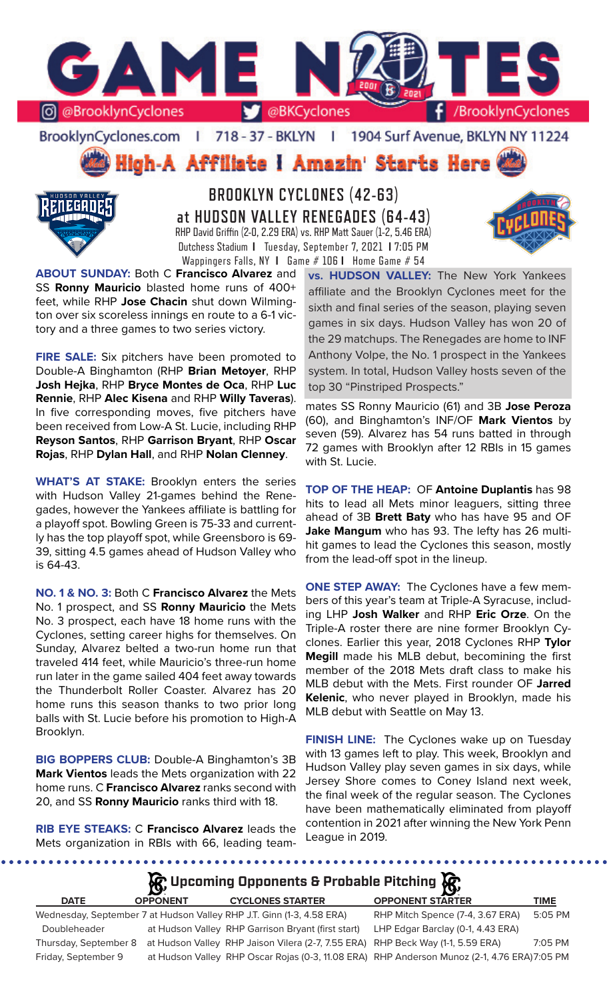

BrooklynCyclones.com | 718 - 37 - BKLYN | 1904 Surf Avenue, BKLYN NY 11224

**High-A Affiliate I Amazin' Starts Here** 



**BROOKLYN CYCLONES (42-63) at HUDSON VALLEY RENEGADES (64-43)** RHP David Griffin (2-0, 2.29 ERA) vs. RHP Matt Sauer (1-2, 5.46 ERA) Dutchess Stadium **I** Tuesday, September 7, 2021 **I** 7:05 PM Wappingers Falls, NY **I** Game # 106 **I** Home Game # 54

**ABOUT SUNDAY:** Both C **Francisco Alvarez** and SS **Ronny Mauricio** blasted home runs of 400+ feet, while RHP **Jose Chacin** shut down Wilmington over six scoreless innings en route to a 6-1 victory and a three games to two series victory.

**FIRE SALE:** Six pitchers have been promoted to Double-A Binghamton (RHP **Brian Metoyer**, RHP **Josh Hejka**, RHP **Bryce Montes de Oca**, RHP **Luc Rennie**, RHP **Alec Kisena** and RHP **Willy Taveras**). In five corresponding moves, five pitchers have been received from Low-A St. Lucie, including RHP **Reyson Santos**, RHP **Garrison Bryant**, RHP **Oscar Rojas**, RHP **Dylan Hall**, and RHP **Nolan Clenney**.

**WHAT'S AT STAKE:** Brooklyn enters the series with Hudson Valley 21-games behind the Renegades, however the Yankees affiliate is battling for a playoff spot. Bowling Green is 75-33 and currently has the top playoff spot, while Greensboro is 69- 39, sitting 4.5 games ahead of Hudson Valley who is 64-43.

**NO. 1 & NO. 3:** Both C **Francisco Alvarez** the Mets No. 1 prospect, and SS **Ronny Mauricio** the Mets No. 3 prospect, each have 18 home runs with the Cyclones, setting career highs for themselves. On Sunday, Alvarez belted a two-run home run that traveled 414 feet, while Mauricio's three-run home run later in the game sailed 404 feet away towards the Thunderbolt Roller Coaster. Alvarez has 20 home runs this season thanks to two prior long balls with St. Lucie before his promotion to High-A Brooklyn.

**BIG BOPPERS CLUB:** Double-A Binghamton's 3B **Mark Vientos** leads the Mets organization with 22 home runs. C **Francisco Alvarez** ranks second with 20, and SS **Ronny Mauricio** ranks third with 18.

**RIB EYE STEAKS:** C **Francisco Alvarez** leads the Mets organization in RBIs with 66, leading team**vs. HUDSON VALLEY:** The New York Yankees affiliate and the Brooklyn Cyclones meet for the sixth and final series of the season, playing seven games in six days. Hudson Valley has won 20 of the 29 matchups. The Renegades are home to INF Anthony Volpe, the No. 1 prospect in the Yankees system. In total, Hudson Valley hosts seven of the top 30 "Pinstriped Prospects."

mates SS Ronny Mauricio (61) and 3B **Jose Peroza** (60), and Binghamton's INF/OF **Mark Vientos** by seven (59). Alvarez has 54 runs batted in through 72 games with Brooklyn after 12 RBIs in 15 games with St. Lucie.

**TOP OF THE HEAP:** OF **Antoine Duplantis** has 98 hits to lead all Mets minor leaguers, sitting three ahead of 3B **Brett Baty** who has have 95 and OF **Jake Mangum** who has 93. The lefty has 26 multihit games to lead the Cyclones this season, mostly from the lead-off spot in the lineup.

**ONE STEP AWAY:** The Cyclones have a few members of this year's team at Triple-A Syracuse, including LHP **Josh Walker** and RHP **Eric Orze**. On the Triple-A roster there are nine former Brooklyn Cyclones. Earlier this year, 2018 Cyclones RHP **Tylor Megill** made his MLB debut, becomining the first member of the 2018 Mets draft class to make his MLB debut with the Mets. First rounder OF **Jarred Kelenic**, who never played in Brooklyn, made his MLB debut with Seattle on May 13.

**FINISH LINE:** The Cyclones wake up on Tuesday with 13 games left to play. This week, Brooklyn and Hudson Valley play seven games in six days, while Jersey Shore comes to Coney Island next week, the final week of the regular season. The Cyclones have been mathematically eliminated from playoff contention in 2021 after winning the New York Penn League in 2019.

**DATE OPPONENT CYCLONES STARTER OPPONENT STARTER TIME** Wednesday, September 7 at Hudson Valley RHP J.T. Ginn (1-3, 4.58 ERA) RHP Mitch Spence (7-4, 3.67 ERA) 5:05 PM Doubleheader at Hudson Valley RHP Garrison Bryant (first start) LHP Edgar Barclay (0-1, 4.43 ERA) **Upcoming Opponents & Probable Pitching**

Thursday, September 8 at Hudson Valley RHP Jaison Vilera (2-7, 7.55 ERA) RHP Beck Way (1-1, 5.59 ERA) 7:05 PM Friday, September 9 at Hudson Valley RHP Oscar Rojas (0-3, 11.08 ERA) RHP Anderson Munoz (2-1, 4.76 ERA)7:05 PM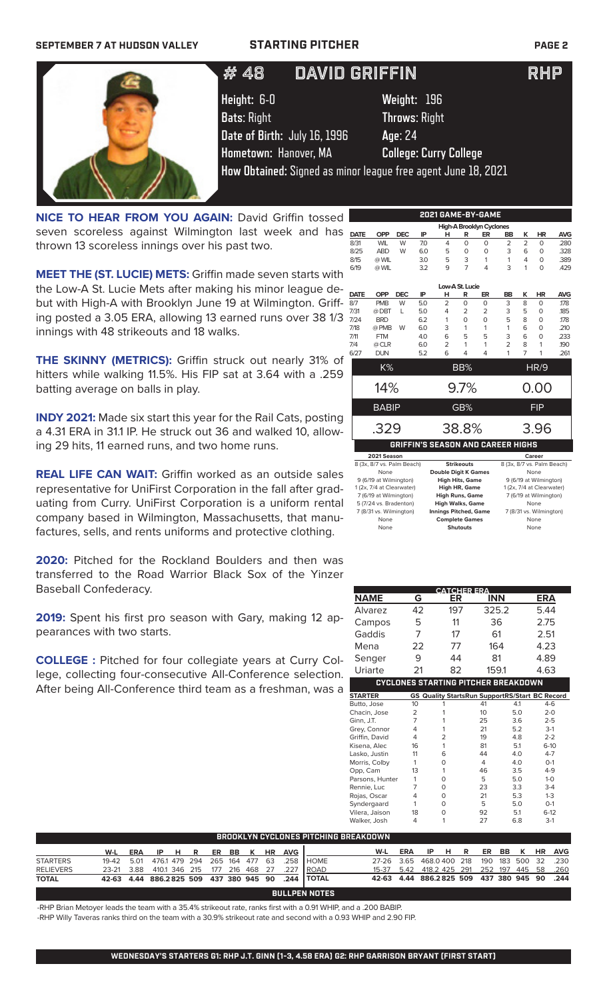### **SEPTEMBER 7 AT HUDSON VALLEY STARTING PITCHER PAGE 2**

# 25 JOSE CARLOS MEDINA LHP # 48 DAVID GRIFFIN THE RHP



**Height:** 6-0 **Weight:** 196 **Bats**: Right **Throws**: Right **Date of Birth:** July 16, 1996 **Age**: 24 **Hometown:** Hanover, MA **College: Curry College**

**How Obtained:** Signed as minor league free agent June 18, 2021

**NICE TO HEAR FROM YOU AGAIN: David Griffin tossed** seven scoreless against Wilmington last week and has thrown 13 scoreless innings over his past two.

**MEET THE (ST. LUCIE) METS:** Griffin made seven starts with the Low-A St. Lucie Mets after making his minor league debut with High-A with Brooklyn June 19 at Wilmington. Griffing posted a 3.05 ERA, allowing 13 earned runs over 38 1/3 innings with 48 strikeouts and 18 walks.

**THE SKINNY (METRICS):** Griffin struck out nearly 31% of hitters while walking 11.5%. His FIP sat at 3.64 with a .259 batting average on balls in play.

**INDY 2021:** Made six start this year for the Rail Cats, posting a 4.31 ERA in 31.1 IP. He struck out 36 and walked 10, allowing 29 hits, 11 earned runs, and two home runs.

**REAL LIFE CAN WAIT:** Griffin worked as an outside sales representative for UniFirst Corporation in the fall after graduating from Curry. UniFirst Corporation is a uniform rental company based in Wilmington, Massachusetts, that manufactures, sells, and rents uniforms and protective clothing.

**2020:** Pitched for the Rockland Boulders and then was transferred to the Road Warrior Black Sox of the Yinzer Baseball Confederacy.

**2019:** Spent his first pro season with Gary, making 12 appearances with two starts.

**COLLEGE :** Pitched for four collegiate years at Curry College, collecting four-consecutive All-Conference selection. After being All-Conference third team as a freshman, was a

|             |                                          |            |     |                    |                   | 2021 GAME-BY-GAME        |                |                |                            |            |
|-------------|------------------------------------------|------------|-----|--------------------|-------------------|--------------------------|----------------|----------------|----------------------------|------------|
|             |                                          |            |     |                    |                   | High-A Brooklyn Cyclones |                |                |                            |            |
| <b>DATE</b> | <b>OPP</b>                               | <b>DEC</b> | IP  | н                  | R                 | ER                       | <b>BB</b>      | κ              | <b>HR</b>                  | <b>AVG</b> |
| 8/31        | <b>WIL</b>                               | W          | 7.0 | 4                  | $\Omega$          | $\Omega$                 | $\overline{2}$ | $\overline{2}$ | O                          | .280       |
| 8/25        | <b>ABD</b>                               | W          | 6.0 | 5                  | $\Omega$          | $\Omega$                 | 3              | 6              | 0                          | .328       |
| 8/15        | @ WIL                                    |            | 3.0 | 5                  | 3                 | 1                        | 1              | 4              | $\Omega$                   | .389       |
| 6/19        | @ WIL                                    |            | 3.2 | 9                  | $\overline{7}$    | 4                        | 3              | 1              | 0                          | .429       |
|             |                                          |            |     |                    |                   |                          |                |                |                            |            |
|             |                                          |            |     |                    | Low-A St. Lucie   |                          |                |                |                            |            |
| <b>DATE</b> | <b>OPP</b>                               | <b>DEC</b> | IP  | н                  | R                 | ER                       | BB             | κ              | <b>HR</b>                  | <b>AVG</b> |
| 8/7         | <b>PMB</b>                               | W          | 5.0 | $\overline{2}$     | 0                 | 0                        | 3              | 8              | O                          | .178       |
| 7/31        | @DBT                                     | L          | 5.0 | 4                  | $\overline{2}$    | $\overline{2}$           | 3              | 5              | 0                          | .185       |
| 7/24        | <b>BRD</b>                               |            | 6.2 | 1                  | $\Omega$          | $\Omega$                 | 5              | 8              | 0                          | .178       |
| 7/18        | @ PMB                                    | W          | 6.0 | 3                  | 1                 | 1                        | 1              | 6              | 0                          | .210       |
| 7/11        | <b>FTM</b>                               |            | 4.0 | 6                  | 5                 | 5                        | 3              | 6              | 0                          | .233       |
| 7/4         | @ CLR                                    |            | 6.0 | $\overline{2}$     | 1                 | 1                        | $\overline{2}$ | 8              | 1                          | .190       |
| 6/27        | <b>DUN</b>                               |            | 5.2 | 6                  | 4                 | 4                        | 1              | 7              | 1                          | .261       |
|             | K%                                       |            |     |                    | BB%               |                          |                |                | HR/9                       |            |
|             |                                          |            |     |                    |                   |                          |                |                |                            |            |
|             | 14%                                      |            |     |                    | 9.7%              |                          |                |                | 0.00                       |            |
|             |                                          |            |     |                    |                   |                          |                |                |                            |            |
|             | BABIP                                    |            |     |                    | GB%               |                          |                |                | <b>FIP</b>                 |            |
|             |                                          |            |     |                    |                   |                          |                |                |                            |            |
|             | .329                                     |            |     |                    | 38.8%             |                          |                |                | 3.96                       |            |
|             | <b>GRIFFIN'S SEASON AND CAREER HIGHS</b> |            |     |                    |                   |                          |                |                |                            |            |
|             | 2021 Season                              |            |     |                    |                   |                          |                |                | Career                     |            |
|             | 8 (3x, 8/7 vs. Palm Beach)               |            |     |                    | <b>Strikeouts</b> |                          |                |                | 8 (3x, 8/7 vs. Palm Beach) |            |
|             | <b>Nano</b>                              |            |     | Bauble Bielt Komes |                   |                          |                |                | <b>Nano</b>                |            |

| 8 (3x, 8/7 vs. Palm Beach) | <b>Strikeouts</b>            | 8 (3x, 8/7 vs. Palm Beach) |
|----------------------------|------------------------------|----------------------------|
| None                       | <b>Double Digit K Games</b>  | None                       |
| 9 (6/19 at Wilmington)     | <b>High Hits, Game</b>       | 9 (6/19 at Wilmington)     |
| 1 (2x, 7/4 at Clearwater)  | <b>High HR, Game</b>         | 1 (2x, 7/4 at Clearwater)  |
| 7 (6/19 at Wilmington)     | <b>High Runs, Game</b>       | 7 (6/19 at Wilmington)     |
| 5 (7/24 vs. Bradenton)     | <b>High Walks, Game</b>      | None                       |
| 7 (8/31 vs. Wilmington)    | <b>Innings Pitched, Game</b> | 7 (8/31 vs. Wilmington)    |
| None                       | <b>Complete Games</b>        | None                       |
| None                       | <b>Shutouts</b>              | None                       |
|                            |                              |                            |

|                 |      |                |     | <b>CATCHER ERA</b> |                                                |          |         |
|-----------------|------|----------------|-----|--------------------|------------------------------------------------|----------|---------|
| <b>NAME</b>     | G    |                | ER  |                    | <b>INN</b>                                     | ERA      |         |
| Alvarez         | 42   |                | 197 |                    | 325.2                                          | 5.44     |         |
| Campos          | 5    |                | 11  | 36                 |                                                | 2.75     |         |
| Gaddis          | 7    |                | 17  |                    | 61                                             | 2.51     |         |
| Mena            | 22   |                | 77  |                    | 164                                            | 4.23     |         |
| Senger          | 9    |                | 44  | 81                 |                                                | 4.89     |         |
| Uriarte         | 21   |                | 82  |                    | 159.1                                          | 4.63     |         |
|                 |      |                |     |                    | <b>CYCLONES STARTING PITCHER BREAKDOWN</b>     |          |         |
| <b>STARTER</b>  |      |                |     |                    | GS Quality StartsRun SupportRS/Start BC Record |          |         |
| Butto, Jose     | 10   | 1              |     | 41                 | 4.1                                            | $4-6$    |         |
| Chacin, Jose    | 2    | 1              |     | 10                 | 5.0                                            | $2 - 0$  |         |
| Ginn, J.T.      | 7    | 1              |     | 25                 | 3.6                                            | $2 - 5$  |         |
| Grey, Connor    | 4    | 1              |     | 21                 | 5.2                                            | $3-1$    |         |
| Griffin, David  | 4    | $\overline{2}$ |     | 19                 | 4.8                                            | $2 - 2$  |         |
| Kisena, Alec    | 16   | 1              |     | 81                 | 5.1                                            | $6 - 10$ |         |
| Lasko, Justin   | 11   | 6              |     | 44                 | 4.0                                            |          | $4 - 7$ |
| Morris, Colby   | 1    | $\circ$        |     | 4                  | 4.0                                            | $O-1$    |         |
| Opp, Cam        | 13   | 1              |     | 46                 | 3.5                                            | $4 - 9$  |         |
| Parsons, Hunter | 1    | $\mathbf 0$    |     | 5                  | 5.0                                            | $1 - 0$  |         |
| Rennie, Luc     | 7    | $\circ$        |     | 23                 | 3.3                                            | $3 - 4$  |         |
| Rojas, Oscar    | 4    | $\mathbf 0$    |     | 21                 | 5.3                                            | $1 - 3$  |         |
| Syndergaard     | 1    | $\mathbf 0$    |     | 5                  | 5.0                                            |          | $O-1$   |
| Vilera, Jaison  | 18   | $\circ$        |     | 92                 | 5.1                                            | $6 - 12$ |         |
| Walker, Josh    | 4    | 1              |     | 27                 | 6.8                                            | $3-1$    |         |
| <u>REAKOOWN</u> |      |                |     |                    |                                                |          |         |
| <b>AFT</b>      | -- - | . .<br>m       |     | --                 | $\overline{ }$<br>nn                           | $\cdots$ |         |

| ' BROOKLYN CYCLONES PITCHING BREAKDOWN . |                                                                                                          |            |       |  |  |                           |       |         |           |            |               |           |     |                          |  |                |                |           |            |
|------------------------------------------|----------------------------------------------------------------------------------------------------------|------------|-------|--|--|---------------------------|-------|---------|-----------|------------|---------------|-----------|-----|--------------------------|--|----------------|----------------|-----------|------------|
|                                          | W-L                                                                                                      | <b>ERA</b> | IP HR |  |  |                           | ER BB | K       | <b>HR</b> | <b>AVG</b> |               | W-L       | ERA | IPHR                     |  | ER BB          | <sup>-</sup> K | <b>HR</b> | <b>AVG</b> |
| <b>STARTERS</b>                          | 19-42 5.01                                                                                               |            |       |  |  | 476.1 479 294 265 164 477 |       |         | - 63      | 258        | <b>HOME</b>   | 27-26 365 |     | 468.0400 218             |  | 190            | 183 500 32     |           | - 230      |
| <b>RELIEVERS</b>                         | 23-21 3.88                                                                                               |            |       |  |  | 410.1 346 215 177         |       | 216 468 | - 27      | -227       | <b>I ROAD</b> |           |     | 15-37 5.42 418.2 425 291 |  | 252 197 445 58 |                |           | .260       |
| <b>TOTAL</b>                             | .244<br>42-63 4.44 886.2825 509 437 380 945 90<br>.244   TOTAL<br>42-63 4.44 886.2825 509 437 380 945 90 |            |       |  |  |                           |       |         |           |            |               |           |     |                          |  |                |                |           |            |
|                                          | <b>BULLPEN NOTES</b>                                                                                     |            |       |  |  |                           |       |         |           |            |               |           |     |                          |  |                |                |           |            |

-RHP Brian Metoyer leads the team with a 35.4% strikeout rate, ranks first with a 0.91 WHIP, and a .200 BABIP. -RHP Willy Taveras ranks third on the team with a 30.9% strikeout rate and second with a 0.93 WHIP and 2.90 FIP.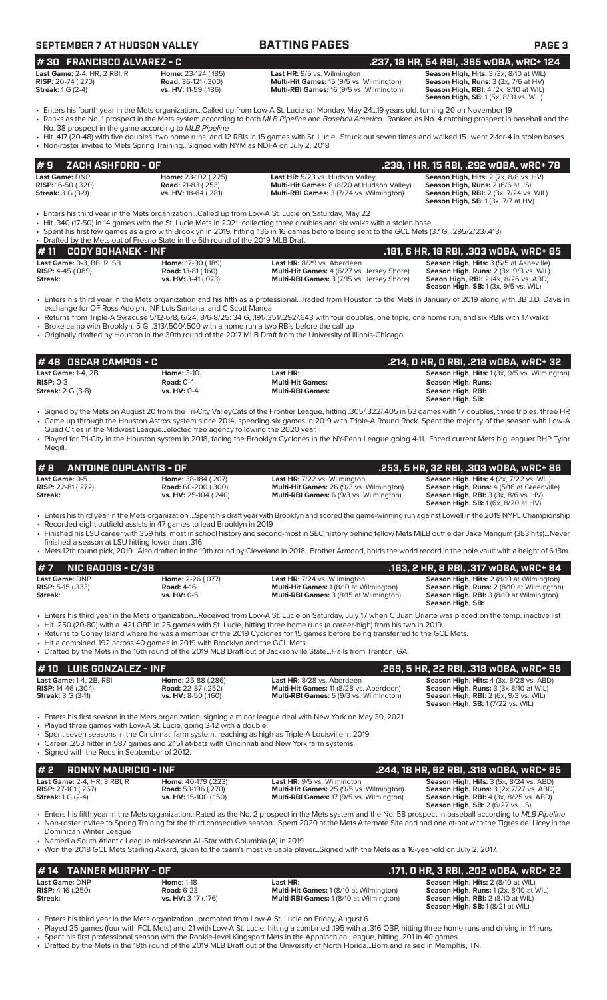| SEPTEMBER 7 AT HUDSON VALLEY | <b>BATTING PAGES</b> | <b>PAGE 3</b> |
|------------------------------|----------------------|---------------|
|------------------------------|----------------------|---------------|

| # 30 FRANCISCO ALVAREZ - C          |                             |                                                 | .237, 18 HR, 54 RBI, .365 wOBA, wRC+ 124               |
|-------------------------------------|-----------------------------|-------------------------------------------------|--------------------------------------------------------|
| <b>Last Game:</b> 2-4. HR. 2 RBI. R | <b>Home:</b> 23-124 (.185)  | <b>Last HR:</b> 9/5 vs. Wilmington              | <b>Season High, Hits:</b> 3 (3x, 8/10 at WIL)          |
| <b>RISP:</b> 20-74 (.270)           | <b>Road:</b> 36-121 (.300)  | <b>Multi-Hit Games: 15 (9/5 vs. Wilmington)</b> | <b>Season High, Runs:</b> $3$ ( $3x$ , $7/6$ at $HV$ ) |
| <b>Streak:</b> $1 G (2-4)$          | <b>vs. HV:</b> 11-59 (.186) | <b>Multi-RBI Games: 16 (9/5 vs. Wilmington)</b> | <b>Season High, RBI:</b> $4$ (2x, 8/10 at WIL)         |

**Season High, RBI:**  $4$  (2x, 8/10 at WIL)<br>**Season High, RBI:**  $4$  (2x, 8/10 at WIL)<br>**Season High, SB:** 1 (5x, 8/31 vs. WIL)

- Enters his fourth year in the Mets organization...Called up from Low-A St. Lucie on Monday, May 24...19 years old, turning 20 on November 19 • Ranks as the No. 1 prospect in the Mets system according to both *MLB Pipeline* and *Baseball America*...Ranked as No. 4 catching prospect in baseball and the
- No. 38 prospect in the game according to *MLB Pipeline*
- Hit .417 (20-48) with five doubles, two home runs, and 12 RBIs in 15 games with St. Lucie...Struck out seven times and walked 15...went 2-for-4 in stolen bases • Non-roster invitee to Mets Spring Training...Signed with NYM as NDFA on July 2, 2018

#### **Last Game: DNP Home: 23-102 (.225) Last HR:** 5/23 vs. Hudson Valley **Season High, Hits: 2 (7x, 8/8 vs. HV)**<br> **RISP:** 16-50 (.320) **Road: 21-83 (.253) Multi-Hit Games: 8 (8/20 at Hudson Valley) <b>Season High, Runs: 2** ( **RISP:** 16-50 (.320) **Road: 21-83 (.253) Multi-Hit Games: 8 (8/20** at Hudson Valley) **Road: 21-83 (.253) Multi-Hit Games: 8 (8/20** at Hudson Valley) **Vreems: 3** (7/24 vs. Wilmington) **Season High, RBI:** 2 (3x, 7/24 vs. WIL) **Season High, SB:** 1 (3x, 7/7 at HV) **# 9 ZACH ASHFORD - OF .238, 1 HR, 15 RBI, .292 wOBA, wRC+ 78**

- Enters his third year in the Mets organization...Called up from Low-A St. Lucie on Saturday, May 22
- Hit .340 (17-50) in 14 games with the St. Lucie Mets in 2021, collecting three doubles and six walks with a stolen base
- Spent his first few games as a pro with Brooklyn in 2019, hitting .136 in 16 games before being sent to the GCL Mets (37 G, .295/2/23/.413)
- Drafted by the Mets out of Fresno State in the 6th round of the 2019 MLB Draft<br>• 11 CODY BOHANEK INF **# 11 CODY BOHANEK - INF .181, 6 HR, 18 RBI, .303 wOBA, wRC+ 85 Last Game:** 0-3, BB, R, SB **Home:** 17-90 (.189) **Last HR:** 8/29 vs. Aberdeen **Season High, Hits:** 3 (5/5 at Asheville) **RISP:** 4-45 (.089) **Road:** 13-81 (.160) **Multi-Hit Games:** 4 (6/27 vs. Jersey Shore) **Season High, Runs:** 2 (3x, 9/3 vs. WIL) **Streak: vs. HV:** 3-41 (.073) **Multi-RBI Games:** 3 (7/15 vs. Jersey Shore) **Seaon High, RBI:** 2 (4x, 8/26 vs. ABD) **Season High, SB:** 1 (3x, 9/5 vs. WIL)
- Enters his third year in the Mets organization and his fifth as a professional...Traded from Houston to the Mets in January of 2019 along with 3B J.D. Davis in exchange for OF Ross Adolph, INF Luis Santana, and C Scott Manea
- Returns from Triple-A Syracuse 5/12-6/8, 6/24, 8/6-8/25: 34 G, .191/.351/.292/.643 with four doubles, one triple, one home run, and six RBIs with 17 walks • Broke camp with Brooklyn: 5 G, .313/.500/.500 with a home run a two RBIs before the call up
- Originally drafted by Houston in the 30th round of the 2017 MLB Draft from the University of Illinois-Chicago

| $\bm{\sharp}$ 48 $\,$ OSCAR CAMPOS - C $\,$ |                    |                         | .214, 0 HR, 0 RBI, .218 w0BA, wRC+ 32                |
|---------------------------------------------|--------------------|-------------------------|------------------------------------------------------|
| Last Game: $1-4$ . $2B$                     | <b>Home: 3-10</b>  | Last HR:                | <b>Season High, Hits:</b> 1 (3x, 9/5 vs. Wilmington) |
| $RISP: 0-3$                                 | Road: $0-4$        | <b>Multi-Hit Games:</b> | Season High, Runs:                                   |
| <b>Streak:</b> $2 G (3-8)$                  | <b>vs. HV: 0-4</b> | <b>Multi-RBI Games:</b> | Season High, RBI:                                    |
|                                             |                    |                         | Season High, SB:                                     |

- Signed by the Mets on August 20 from the Tri-City ValleyCats of the Frontier League, hitting .305/.322/.405 in 63 games with 17 doubles, three triples, three HR • Came up through the Houston Astros system since 2014, spending six games in 2019 with Triple-A Round Rock. Spent the majority of the season with Low-A Quad Cities in the Midwest League...elected free agency following the 2020 year.
- Played for Tri-City in the Houston system in 2018, facing the Brooklyn Cyclones in the NY-Penn League going 4-11...Faced current Mets big leaguer RHP Tylor Megill.

|         | $\#$ 8 ANTOINE DUPLANTIS - OF                      |                                                                                   |                                                                                                                                          | .253, 5 HR, 32 RBI, .303 wOBA, wRC+ 86                                                                                                                                                   |
|---------|----------------------------------------------------|-----------------------------------------------------------------------------------|------------------------------------------------------------------------------------------------------------------------------------------|------------------------------------------------------------------------------------------------------------------------------------------------------------------------------------------|
| Streak: | <b>Last Game:</b> 0-5<br><b>RISP:</b> 22-81 (.272) | <b>Home: 38-184 (.207)</b><br><b>Road:</b> 60-200 (.300)<br>vs. HV: 25-104 (.240) | <b>Last HR:</b> 7/22 vs. Wilmington<br><b>Multi-Hit Games: 26 (9/3 vs. Wilmington)</b><br><b>Multi-RBI Games:</b> 6 (9/3 vs. Wilmington) | Season High, Hits: 4 (2x, 7/22 vs. WIL)<br><b>Season High, Runs: 4 (5/16 at Greenville)</b><br><b>Season High, RBI:</b> 3 (3x, 8/6 vs. HV)<br><b>Season High, SB:</b> 1 (6x, 8/20 at HV) |

- Enters his third year in the Mets organization ...Spent his draft year with Brooklyn and scored the game-winning run against Lowell in the 2019 NYPL Championship
- Recorded eight outfield assists in 47 games to lead Brooklyn in 2019
- Finished his LSU career with 359 hits, most in school history and second-most in SEC history behind fellow Mets MiLB outfielder Jake Mangum (383 hits)...Never finished a season at LSU hitting lower than .316
- Mets 12th round pick, 2019...Also drafted in the 19th round by Cleveland in 2018...Brother Armond, holds the world record in the pole vault with a height of 6.18m.

|                                                       | $# 7$ NIC GADDIS - C/3B    |                                                                              |                                                                                                                                                                                                                                                                                                                                                                               | .163, 2 HR, 8 RBI, .317 wOBA, wRC+ 94                                                                                                                         |
|-------------------------------------------------------|----------------------------|------------------------------------------------------------------------------|-------------------------------------------------------------------------------------------------------------------------------------------------------------------------------------------------------------------------------------------------------------------------------------------------------------------------------------------------------------------------------|---------------------------------------------------------------------------------------------------------------------------------------------------------------|
| Last Game: DNP<br><b>RISP:</b> 5-15 (.333)<br>Streak: |                            | Home: 2-26 (.077)<br><b>Road: 4-16</b><br>$vs. H.V: 0-5$                     | Last HR: 7/24 vs. Wilmington<br><b>Multi-Hit Games: 1 (8/10 at Wilmington)</b><br>Multi-RBI Games: 3 (8/15 at Wilmington)                                                                                                                                                                                                                                                     | Season High, Hits: 2 (8/10 at Wilmington)<br>Season High, Runs: 2 (8/10 at Wilmington)<br><b>Season High, RBI: 3 (8/10 at Wilmington)</b><br>Season High, SB: |
|                                                       |                            | • Hit a combined .192 across 40 games in 2019 with Brooklyn and the GCL Mets | . Hit .250 (20-80) with a .421 OBP in 25 games with St. Lucie, hitting three home runs (a career-high) from his two in 2019.<br>• Returns to Coney Island where he was a member of the 2019 Cyclones for 15 games before being transferred to the GCL Mets.<br>. Drafted by the Mets in the 16th round of the 2019 MLB Draft out of Jacksonville StateHails from Trenton, GA. | • Enters his third year in the Mets organizationReceived from Low-A St. Lucie on Saturday, July 17 when C Juan Uriarte was placed on the temp. inactive list  |
|                                                       | $# 10$ LUIS GONZALEZ - INF |                                                                              |                                                                                                                                                                                                                                                                                                                                                                               | .269, 5 HR, 22 RBI, .318 wOBA, wRC+ 95                                                                                                                        |

| <b>Last Game: 1-4, 2B, RBI</b> | <b>Home:</b> 25-88 (.286)  | <b>Last HR:</b> 8/28 vs. Aberdeen                                                                             | Season High, Hits: 4 (3x, 8/28 vs. ABD)          |
|--------------------------------|----------------------------|---------------------------------------------------------------------------------------------------------------|--------------------------------------------------|
| <b>RISP:</b> $14-46$ (.304)    | <b>Road:</b> 22-87 (.252)  | <b>Multi-Hit Games: 11 (8/28 vs. Aberdeen)</b>                                                                | <b>Season High, Runs:</b> 3 (3x 8/10 at WIL)     |
| <b>Streak:</b> 3 G (3-11)      | <b>vs. HV:</b> 8-50 (.160) | <b>Multi-RBI Games:</b> 5 (9/3 vs. Wilmington)                                                                | <b>Season High, RBI:</b> $2$ (6x, $9/3$ vs. WIL) |
|                                |                            |                                                                                                               | <b>Season High, SB:</b> 1(7/22 vs. WIL)          |
|                                |                            | . Enters his first season in the Mets organization, signing a minor league deal with New York on May 30, 2021 |                                                  |

- ganization, signing a minor league deal with New York on May 30, 2021.
- Played three games with Low-A St. Lucie, going 3-12 with a double.
- Spent seven seasons in the Cincinnati farm system, reaching as high as Triple-A Louisville in 2019. • Career .253 hitter in 587 games and 2,151 at-bats with Cincinnati and New York farm systems.
- Signed with the Reds in September of 2012.

| #2<br>RONNY MAURICIO - INF          |                            |                                                 | . 244, 18 HR, 62 RBI, .318 wOBA, wRC+ 95. .              |
|-------------------------------------|----------------------------|-------------------------------------------------|----------------------------------------------------------|
| <b>Last Game: 2-4. HR. 3 RBI. R</b> | Home: 40-179 (.223)        | <b>Last HR:</b> 9/5 vs. Wilmington              | <b>Season High, Hits: 3 (5x, 8/24 vs. ABD)</b>           |
| <b>RISP:</b> 27-101 (.267)          | <b>Road:</b> 53-196 (.270) | <b>Multi-Hit Games: 25 (9/5 vs. Wilmington)</b> | <b>Season High, Runs: 3 (2x 7/27 vs. ABD)</b>            |
| <b>Streak:</b> $1 \text{ G}$ (2-4)  | vs. HV: 15-100 (.150)      | <b>Multi-RBI Games: 17 (9/5 vs. Wilmington)</b> | <b>Season High, RBI:</b> $4$ ( $3x$ , $8/25$ vs. $ABD$ ) |
|                                     |                            |                                                 | <b>Season High, SB: 2 (6/27 vs. JS)</b>                  |

• Enters his fifth year in the Mets organization...Rated as the No. 2 prospect in the Mets system and the No. 58 prospect in baseball according to *MLB Pipeline* • Non-roster invitee to Spring Training for the third consecutive season...Spent 2020 at the Mets Alternate Site and had one at-bat with the Tigres del Licey in the Dominican Winter League

- Named a South Atlantic League mid-season All-Star with Columbia (A) in 2019
- Won the 2018 GCL Mets Sterling Award, given to the team's most valuable player...Signed with the Mets as a 16-year-old on July 2, 2017.

#### **Last Game:** DNP **Home:** 1-18 **Last HR: Season High, Hits:** 2 (8/10 at WIL) **RISP:** 4-16 (.250) **Road:** 6-23 **Multi-Hit Games:** 1 (8/10 at Wilmington) **Season High, Runs:** 1 (2x, 8/10 at WIL) **Streak: views. vs. HV:** 3-17 (.176) **Multi-RBI Games:** 1 (8/10 at Wilmington) **Season High, RBI:** 2 (8/10 at WIL) **Season High, SB:** 1 (8/21 at WIL) **# 14 TANNER MURPHY - OF .171, 0 HR, 3 RBI, .202 wOBA, wRC+ 22**

- Enters his third year in the Mets organization...promoted from Low-A St. Lucie on Friday, August 6
- Played 25 games (four with FCL Mets) and 21 with Low-A St. Lucie, hitting a combined .195 with a .316 OBP, hitting three home runs and driving in 14 runs • Spent his first professional season with the Rookie-level Kingsport Mets in the Appalachian League, hitting. 201 in 40 games
- Drafted by the Mets in the 18th round of the 2019 MLB Draft out of the University of North Florida...Born and raised in Memphis, TN.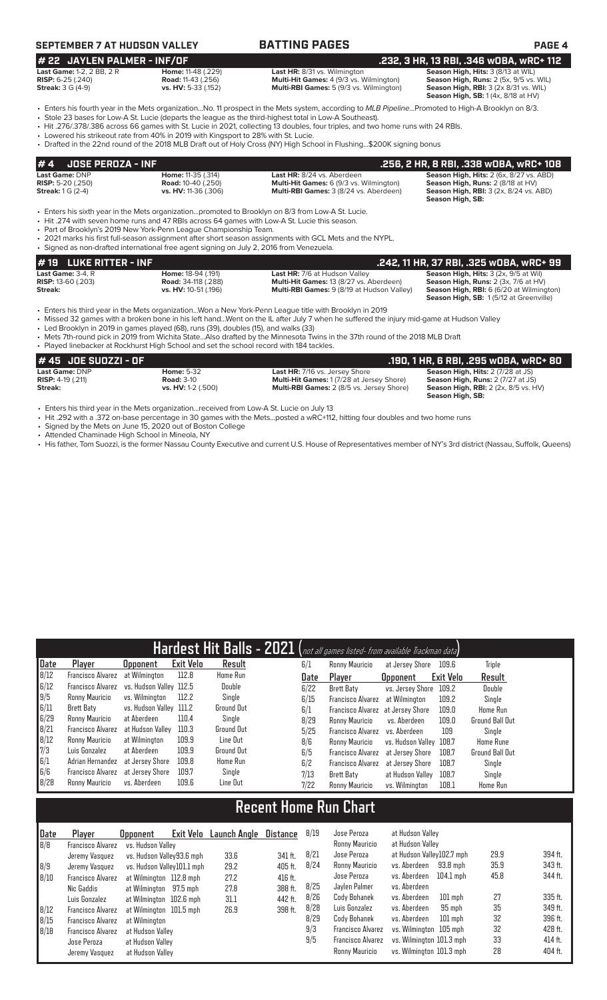### **SEPTEMBER 7 AT HUDSON VALLEY BATTING PAGES PAGE 4**

#### **# 22 JAYLEN PALMER - INF/OF .232, 3 HR, 13 RBI, .346 wOBA, wRC+ 112 Last Game:** 1-2, 2 BB, 2 R **Home:** 11-48 (.229) **Last HR:** 8/31 vs. Wilmington **Season High, Hits:** 3 (8/13 at WIL)

**RISP:** 6-25 (.240) **Road:** 11-43 (.256) **Multi-Hit Games:** 4 (9/3 vs. Wilmington) **Season High, Runs:** 2 (5x, 9/5 vs. WIL) **Streak: 3** G (4-9) **Road:** 11-43 (.256) **Multi-Hit Games: 4 (9/3** vs. Wilmington) **Season High, Runs:** 2 (5x, 9/5 vs. WIL) **Streak: 3** G (4-9) **vs. HV:** 5-33 (.152) **Multi-RBI Games:** 5 (9/3 vs. Wilmington) **Season High,** 

**Season High, RBI:** 3 (2x 8/31 vs. WIL)<br>**Season High, SB:** 1 (4x, 8/18 at HV)

• Enters his fourth year in the Mets organization...No. 11 prospect in the Mets system, according to *MLB Pipeline*...Promoted to High-A Brooklyn on 8/3. • Stole 23 bases for Low-A St. Lucie (departs the league as the third-highest total in Low-A Southeast).

• Hit .276/.378/.386 across 66 games with St. Lucie in 2021, collecting 13 doubles, four triples, and two home runs with 24 RBIs.

• Lowered his strikeout rate from 40% in 2019 with Kingsport to 28% with St. Lucie.

• Drafted in the 22nd round of the 2018 MLB Draft out of Holy Cross (NY) High School in Flushing...\$200K signing bonus

|                            | $# 4$ JOSE PEROZA - INF                                                                           |                                                | .256. 2 HR. 8 RBI. .338 WOBA. WRC+ 108         |  |  |  |  |  |
|----------------------------|---------------------------------------------------------------------------------------------------|------------------------------------------------|------------------------------------------------|--|--|--|--|--|
| <b>Last Game: DNP</b>      | <b>Home: 11-35 (.314)</b>                                                                         | Last HR: 8/24 vs. Aberdeen                     | <b>Season High, Hits: 2 (6x, 8/27 vs. ABD)</b> |  |  |  |  |  |
| <b>RISP:</b> 5-20 $(.250)$ | <b>Road:</b> 10-40 (.250)                                                                         | <b>Multi-Hit Games:</b> 6 (9/3 vs. Wilmington) | <b>Season High, Runs: 2 (8/18 at HV)</b>       |  |  |  |  |  |
| <b>Streak:</b> $1 G (2-4)$ | vs. HV: 11-36 (.306)                                                                              | <b>Multi-RBI Games: 3 (8/24 vs. Aberdeen)</b>  | <b>Season High, RBI: 3 (2x, 8/24 vs. ABD)</b>  |  |  |  |  |  |
|                            |                                                                                                   |                                                | Season High, SB:                               |  |  |  |  |  |
|                            | . Enters his sixth year in the Mets organizationpromoted to Brooklyn on 8/3 from Low-A St. Lucie. |                                                |                                                |  |  |  |  |  |

• Hit .274 with seven home runs and 47 RBIs across 64 games with Low-A St. Lucie this season.

• Part of Brooklyn's 2019 New York-Penn League Championship Team.

• 2021 marks his first full-season assignment after short season assignments with GCL Mets and the NYPL.

• Signed as non-drafted international free agent signing on July 2, 2016 from Venezuela.

# **# 19 LUKE RITTER - INF .242, 11 HR, 37 RBI, .325 wOBA, wRC+ 99**

#### **Last Game:** 3-4, R **Home:** 18-94 (.191) **Last HR:** 7/6 at Hudson Valley **Season High, Hits:** 3 (2x, 9/5 at Wil) **RISP:** 13-60 (.203) **Road:** 34-118 (.288) **Multi-Hit Games:** 13 (8/27 vs. Aberdeen) **Season High, Runs:** 2 (3x, 7/6 at HV) **Streak:** vs. HV: 10-51 (.196) **Multi-RBI Games:** 9 (8/19 at Hudson Valley)

**Season High, SB:** 1 (5/12 at Greenville)

• Enters his third year in the Mets organization...Won a New York-Penn League title with Brooklyn in 2019

• Missed 32 games with a broken bone in his left hand...Went on the IL after July 7 when he suffered the injury mid-game at Hudson Valley

• Led Brooklyn in 2019 in games played (68), runs (39), doubles (15), and walks (33)

• Mets 7th-round pick in 2019 from Wichita State...Also drafted by the Minnesota Twins in the 37th round of the 2018 MLB Draft

| • Played linebacker at Rockhurst High School and set the school record with 184 tackles. |                    |                                                  |                                             |
|------------------------------------------------------------------------------------------|--------------------|--------------------------------------------------|---------------------------------------------|
| # 45 JOE SUOZZI - OF                                                                     |                    |                                                  | .190. 1 HR. 6 RBI. .295 wOBA. wRC+ 80       |
| Last Game: DNP                                                                           | <b>Home: 5-32</b>  | <b>Last HR: 7/16 vs. Jersey Shore</b>            | <b>Season High, Hits: 2 (7/28 at JS)</b>    |
| <b>RISP:</b> $4-19$ $(.211)$                                                             | <b>Road: 3-10</b>  | <b>Multi-Hit Games: 1(7/28 at Jersey Shore)</b>  | <b>Season High, Runs: 2 (7/27 at JS)</b>    |
| Streak:                                                                                  | vs. HV: 1-2 (.500) | <b>Multi-RBI Games:</b> 2 (8/5 vs. Jersey Shore) | <b>Season High, RBI:</b> 2 (2x, 8/5 vs. HV) |
|                                                                                          |                    |                                                  | Season High, SB:                            |

• Enters his third year in the Mets organization...received from Low-A St. Lucie on July 13

• Hit .292 with a .372 on-base percentage in 30 games with the Mets...posted a wRC+112, hitting four doubles and two home runs

Signed by the Mets on June 15, 2020 out of Boston College

• Attended Chaminade High School in Mineola, NY

• His father, Tom Suozzi, is the former Nassau County Executive and current U.S. House of Representatives member of NY's 3rd district (Nassau, Suffolk, Queens)

|      |                          |                         |                  |                 |      | Hardest Hit Balls - 2021 (not all games listed- from available Trackman data) |                         |           |                        |
|------|--------------------------|-------------------------|------------------|-----------------|------|-------------------------------------------------------------------------------|-------------------------|-----------|------------------------|
| Date | Player                   | <b>Opponent</b>         | <b>Exit Velo</b> | Result          | 6/1  | Ronny Mauricio                                                                | at Jersey Shore         | 109.6     | <b>Triple</b>          |
| 8/12 | <b>Francisco Alvarez</b> | at Wilmington           | 112.8            | Home Run        | Date | Plaver                                                                        | <b>Opponent</b>         | Exit Velo | Result                 |
| 6/12 | Francisco Alvarez        | vs. Hudson Valley 112.5 |                  | Double          | 6/22 | Brett Baty                                                                    | vs. Jersey Shore        | 109.2     | Double                 |
| 9/5  | Ronny Mauricio           | vs. Wilminaton          | 112.2            | Single          | 6/15 | <b>Francisco Alvarez</b>                                                      | at Wilmington           | 109.2     | Single                 |
| 6/11 | Brett Baty               | vs. Hudson Valley 111.2 |                  | Ground Out      | 6/1  | Francisco Alvarez at Jersey Shore                                             |                         | 109.0     | Home Run               |
| 6/29 | Ronny Mauricio           | at Aberdeen             | 110.4            | Single          | 8/29 | Ronny Mauricio                                                                | vs. Aberdeen            | 109.0     | <b>Ground Ball Out</b> |
| 8/21 | Francisco Alvarez        | at Hudson Vallev        | 110.3            | Ground Out      | 5/25 | Francisco Alvarez                                                             | vs. Aberdeen            | 109       | Single                 |
| B/12 | Ronny Mauricio           | at Wilmington           | 109.9            | Line Out        | 8/6  | Ronny Mauricio                                                                | vs. Hudson Valley 108.7 |           | <b>Home Rune</b>       |
| 7/3  | Luis Gonzalez            | at Aberdeen             | 109.9            | Ground Out      | 6/5  | <b>Francisco Alvarez</b>                                                      | at Jersev Shore         | 108.7     | <b>Ground Ball Out</b> |
| 6/1  | Adrian Hernandez         | at Jersev Shore         | 109.8            | <b>Home Run</b> | 6/2  | <b>Francisco Alvarez</b>                                                      | at Jersey Shore         | 108.7     | Single                 |
| 6/6  | Francisco Alvarez        | at Jersev Shore         | 109.7            | Single          | 7/13 | Brett Baty                                                                    | at Hudson Valley        | 108.7     | Single                 |
| B/2B | Ronny Mauricio           | vs. Aberdeen            | 109.6            | Line Out        | 7/22 | Ronny Mauricio                                                                | vs. Wilmington          | 108.1     | Home Run               |

## **Recent Home Run Chart**

| Date | Player                   | Exit Velo<br><b>Opponent</b> | Launch Angle | <b>Distance</b> | 8/19 | Jose Peroza              | at Hudson Vallev          |      |           |
|------|--------------------------|------------------------------|--------------|-----------------|------|--------------------------|---------------------------|------|-----------|
| B/B  | Francisco Alvarez        | vs. Hudson Valley            |              |                 |      | Ronny Mauricio           | at Hudson Valley          |      |           |
|      | Jeremy Vasquez           | vs. Hudson Valley93.6 mph    | 33.6         | 341 ft.         | 8/21 | Jose Peroza              | at Hudson Valley102.7 mph | 29.9 | 394 ft.   |
| 8/9  | Jeremy Vasquez           | vs. Hudson Valley101.1 mph   | 29.2         | 405 ft.         | 8/24 | Ronny Mauricio           | vs. Aberdeen<br>93.8 mph  | 35.9 | 343 ft.   |
| 8/10 | <b>Francisco Alvarez</b> | at Wilmington 112.8 mph      | 27.2         | 416 ft.         |      | Jose Peroza              | 104.1 mph<br>vs. Aberdeen | 45.8 | 344 ft.   |
|      | Nic Gaddis               | at Wilmington 97.5 mph       | 27.8         | 388 ft.         | 8/25 | Javlen Palmer            | vs. Aberdeen              |      |           |
|      | Luis Gonzalez            | at Wilmington 102.6 mph      | 31.1         | 442 ft.         | 8/26 | Cody Bohanek             | vs. Aberdeen<br>$101$ mph | 27   | 335 ft.   |
| 8/12 | <b>Francisco Alvarez</b> | at Wilmington 101.5 mph      | 26.9         | 398 ft.         | 8/28 | Luis Gonzalez            | 95 mph<br>vs. Aberdeen    | 35   | 349 ft.   |
| 8/15 | <b>Francisco Alvarez</b> | at Wilmington                |              |                 | 8/29 | Cody Bohanek             | vs. Aberdeen<br>$101$ mph | 32   | 396 ft.   |
| 8/18 | <b>Francisco Alvarez</b> | at Hudson Valley             |              |                 | 9/3  | <b>Francisco Alvarez</b> | vs. Wilmington 105 mph    | 32   | 428 ft.   |
|      | Jose Peroza              | at Hudson Vallev             |              |                 | 9/5  | <b>Francisco Alvarez</b> | vs. Wilminaton 101.3 mph  | 33   | $414$ ft. |
|      | Jeremy Vasquez           | at Hudson Vallev             |              |                 |      | Ronny Mauricio           | vs. Wilmington 101.3 mph  | 28   | 404 ft.   |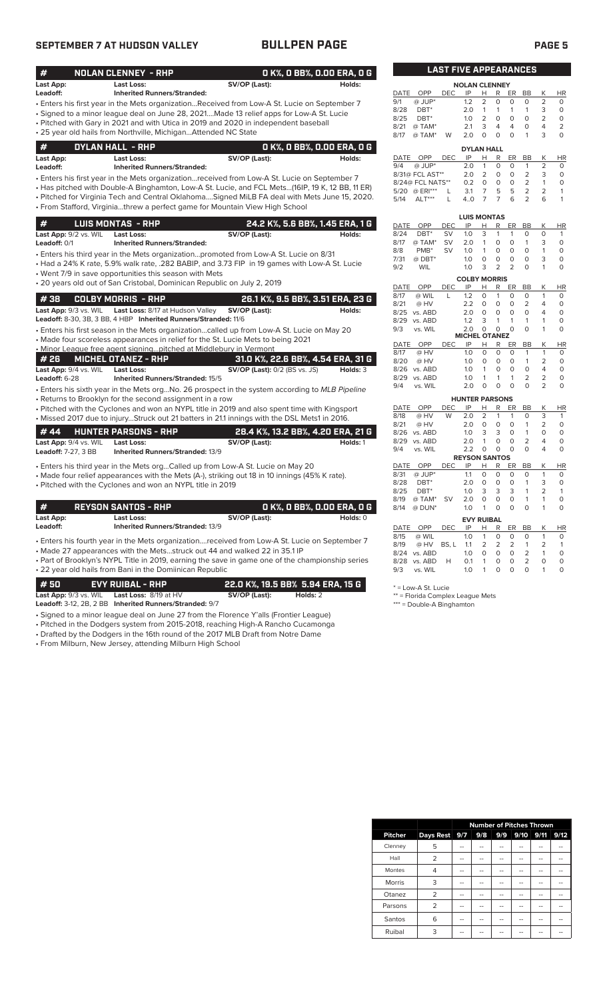### **SEPTEMBER 7 AT HUDSON VALLEY BULLPEN PAGE PAGE 5**

| #<br><b>NOLAN CLENNEY - RHP</b>                                                                |                                      | O K%, O BB%, O.OO ERA, O G        |                     |                  | <b>LAST FIVE APPEARANCES</b> |                       |                     |                     |                       |                           |                   |                      |
|------------------------------------------------------------------------------------------------|--------------------------------------|-----------------------------------|---------------------|------------------|------------------------------|-----------------------|---------------------|---------------------|-----------------------|---------------------------|-------------------|----------------------|
| Last App:<br>Last Loss:                                                                        | SV/OP (Last):                        | Holds:                            |                     |                  |                              | <b>NOLAN CLENNEY</b>  |                     |                     |                       |                           |                   |                      |
| <b>Inherited Runners/Stranded:</b><br>Leadoff:                                                 |                                      |                                   | DATE                | OPP              | DEC.                         | IP                    | H.                  | R                   | ER                    | <b>BB</b>                 | K                 | HI                   |
| Enters his first year in the Mets organizationReceived from Low-A St. Lucie on September 7     |                                      |                                   | 9/1                 | @ JUP*           |                              | 1.2                   | $\overline{2}$      | 0                   | $\circ$               | $\Omega$                  | 2                 | $\Omega$             |
| • Signed to a minor league deal on June 28, 2021Made 13 relief apps for Low-A St. Lucie        |                                      |                                   | 8/28                | $DBT^*$          |                              | 2.0                   | $\mathbf{1}$        | $\mathbf{1}$        | $\mathbf{1}$          | $\mathbf{1}$              | 3                 | $\mathbf 0$          |
| • Pitched with Gary in 2021 and with Utica in 2019 and 2020 in independent baseball            |                                      |                                   | 8/25                | $DBT^*$          |                              | 1.0                   | $\overline{2}$      | $\mathbf 0$         | $\circ$               | $\Omega$                  | $\overline{2}$    | $\Omega$             |
| · 25 year old hails from Northville, MichiganAttended NC State                                 |                                      |                                   | 8/21                | @ TAM*           |                              | 2.1                   | 3                   | $\overline{4}$      | $\overline{4}$        | 0                         | 4                 | $\overline{2}$       |
|                                                                                                |                                      |                                   | 8/17                | @ TAM*           | W                            | 2.0                   | $\Omega$            | $\Omega$            | $\Omega$              | $\mathbf{1}$              | 3                 | $\Omega$             |
| #<br><b>DYLAN HALL - RHP</b>                                                                   |                                      | 0 K%, 0 BB%, 0.00 ERA, 0 G        |                     |                  |                              | <b>DYLAN HALL</b>     |                     |                     |                       |                           |                   |                      |
| Last App:<br>Last Loss:                                                                        | SV/OP (Last):                        | Holds:                            | DATE                | OPP              | DEC.                         | IP                    | Н                   | R                   | ER                    | <b>BB</b>                 | K                 | HI                   |
| Leadoff:<br><b>Inherited Runners/Stranded:</b>                                                 |                                      |                                   | 9/4                 | @ JUP*           |                              | 2.0                   | $\mathbf{1}$        | $\mathbf 0$         | $\mathbf 0$           | 1                         | $\overline{2}$    | 0                    |
| Enters his first year in the Mets organizationreceived from Low-A St. Lucie on September 7     |                                      |                                   |                     | 8/31@ FCL AST**  |                              | 2.0                   | $\overline{2}$      | $\circ$             | $\circ$               | $\overline{2}$            | 3                 | $\Omega$             |
| Has pitched with Double-A Binghamton, Low-A St. Lucie, and FCL Mets(16IP, 19 K, 12 BB, 11 ER)  |                                      |                                   |                     | 8/24@ FCL NATS** |                              | 0.2                   | $\mathbf 0$         | $\mathsf{O}\xspace$ | $\circ$               | $\overline{2}$            | $\mathbf{1}$      | $\circ$              |
|                                                                                                |                                      |                                   |                     | 5/20 @ ERI***    | L                            | 3.1                   | $\overline{7}$      | 5                   | 5                     | $\overline{2}$            | 2                 |                      |
| . Pitched for Virginia Tech and Central OklahomaSigned MiLB FA deal with Mets June 15, 2020.   |                                      |                                   | 5/14                | $ALT***$         | L                            | 4.0                   | $\overline{7}$      | $\overline{7}$      | 6                     | $\overline{2}$            | 6                 |                      |
| · From Stafford, Virginiathrew a perfect game for Mountain View High School                    |                                      |                                   |                     |                  |                              |                       |                     |                     |                       |                           |                   |                      |
| <b>LUIS MONTAS - RHP</b><br>#                                                                  |                                      | 24.2 K%, 5.6 BB%, 1.45 ERA, 1 G   |                     |                  |                              | <b>LUIS MONTAS</b>    |                     |                     |                       |                           |                   |                      |
|                                                                                                |                                      |                                   | <b>DATE</b><br>8/24 | OPP<br>$DBT^*$   | <b>DEC</b><br><b>SV</b>      | IP<br>1.0             | Н.<br>3             | R<br>1              | ER.<br>1              | <b>BB</b><br>0            | K<br>$\circ$      | HI<br>$\overline{1}$ |
| Last App: 9/2 vs. WIL<br><b>Last Loss:</b>                                                     | SV/OP (Last):                        | Holds:                            | 8/17                | @ TAM*           | SV                           | 2.0                   | $\mathbf{1}$        | $\mathbf 0$         | $\mathsf O$           | $\mathbf{1}$              | 3                 | $\mathbf 0$          |
| Leadoff: 0/1<br><b>Inherited Runners/Stranded:</b>                                             |                                      |                                   | 8/8                 | PMB <sup>*</sup> | <b>SV</b>                    | 1.0                   | $\mathbf{1}$        | $\mathbf 0$         | $\circ$               | $\mathbf 0$               | $\mathbf{1}$      | $\Omega$             |
| · Enters his third year in the Mets organizationpromoted from Low-A St. Lucie on 8/31          |                                      |                                   | 7/31                | @ DBT*           |                              | 1.0                   | $\circ$             | 0                   | $\circ$               | 0                         | 3                 | $\mathbf 0$          |
| • Had a 24% K rate, 5.9% walk rate, .282 BABIP, and 3.73 FIP in 19 games with Low-A St. Lucie  |                                      |                                   | 9/2                 | <b>WIL</b>       |                              | 1.0                   | 3                   | $\overline{2}$      | $\overline{2}$        | $\Omega$                  | $\mathbf{1}$      | $\mathbf 0$          |
| • Went 7/9 in save opportunities this season with Mets                                         |                                      |                                   |                     |                  |                              | <b>COLBY MORRIS</b>   |                     |                     |                       |                           |                   |                      |
| · 20 years old out of San Cristobal, Dominican Republic on July 2, 2019                        |                                      |                                   | DATE                | OPP              | <b>DEC</b>                   | ΙP                    | н                   | R                   | ER                    | BB                        | Κ                 | HI                   |
|                                                                                                |                                      |                                   | 8/17                | @ WIL            | L                            | 1.2                   | $\Omega$            | $\mathbf{1}$        | $\Omega$              | $\Omega$                  | $\mathbf{1}$      | $\Omega$             |
| <b>COLBY MORRIS - RHP</b><br>#38                                                               |                                      | 26.1 K%, 9.5 BB%, 3.51 ERA, 23 G  | 8/21                | @ HV             |                              | 2.2                   | $\circ$             | $\mathbf 0$         | $\circ$               | 2                         | $\overline{4}$    | 0                    |
| <b>Last App:</b> 9/3 vs. WIL<br>Last Loss: 8/17 at Hudson Valley                               | SV/OP (Last):                        | Holds:                            | 8/25                | vs. ABD          |                              | 2.0                   | $\circ$             | $\Omega$            | $\Omega$              | $\Omega$                  | 4                 | $\Omega$             |
| Leadoff: 8-30, 3B, 3 BB, 4 HBP Inherited Runners/Stranded: 11/6                                |                                      |                                   | 8/29                | vs. ABD          |                              | 1.2                   | 3                   | 1                   | $\mathbf{1}$          | 1                         | $\mathbf{1}$      | $\Omega$             |
| • Enters his first season in the Mets organizationcalled up from Low-A St. Lucie on May 20     |                                      |                                   | 9/3                 | vs. WIL          |                              | 2.0                   | $\Omega$            | $\Omega$            | $\Omega$              | $\Omega$                  | 1                 | $\Omega$             |
| • Made four scoreless appearances in relief for the St. Lucie Mets to being 2021               |                                      |                                   |                     |                  |                              | <b>MICHEL OTANEZ</b>  |                     |                     |                       |                           |                   |                      |
| . Minor League free agent signingpitched at Middlebury in Vermont                              |                                      |                                   | DATE<br>8/17        | OPP<br>@ HV      | <b>DEC</b>                   | IP<br>1.0             | Н<br>$\Omega$       | R<br>$\Omega$       | <b>ER</b><br>$\Omega$ | <b>BB</b><br>$\mathbf{1}$ | K<br>$\mathbf{1}$ | HI<br>$\Omega$       |
| #26<br><b>MICHEL OTANEZ - RHP</b>                                                              |                                      | 31.0 K%, 22.6 BB%, 4.54 ERA, 31 G | 8/20                | @ HV             |                              | 1.0                   | $\circ$             | $\circ$             | $\circ$               | $\mathbf{1}$              | $\overline{2}$    | 0                    |
| Last App: 9/4 vs. WIL<br><b>Last Loss:</b>                                                     | <b>SV/OP (Last):</b> 0/2 (BS vs. JS) | Holds: $3$                        |                     | 8/26 vs. ABD     |                              | 1.0                   | $\mathbf{1}$        | 0                   | $\Omega$              | $\Omega$                  | $\overline{4}$    | $\Omega$             |
| <b>Leadoff:</b> 6-28<br>Inherited Runners/Stranded: 15/5                                       |                                      |                                   | 8/29                | vs. ABD          |                              | 1.0                   | 1                   | 1                   | $\mathbf{1}$          | $\overline{2}$            | $\overline{2}$    | 0                    |
|                                                                                                |                                      |                                   | 9/4                 | vs. WIL          |                              | 2.0                   | $\Omega$            | O                   | $\Omega$              | $\Omega$                  | $\overline{2}$    | O                    |
| • Enters his sixth year in the Mets orgNo. 26 prospect in the system according to MLB Pipeline |                                      |                                   |                     |                  |                              |                       |                     |                     |                       |                           |                   |                      |
| · Returns to Brooklyn for the second assignment in a row                                       |                                      |                                   |                     |                  |                              | <b>HUNTER PARSONS</b> |                     |                     |                       |                           |                   |                      |
| • Pitched with the Cyclones and won an NYPL title in 2019 and also spent time with Kingsport   |                                      |                                   | DATE<br>8/18        | OPP<br>@ HV      | DEC<br>W                     | IP<br>2.0             | н<br>$\overline{2}$ | R<br>$\mathbf{1}$   | ER<br>$\mathbf{1}$    | BB<br>$\Omega$            | Κ<br>3            | HI<br>$\mathbf{1}$   |
| • Missed 2017 due to injuryStruck out 21 batters in 21.1 innings with the DSL Mets1 in 2016.   |                                      |                                   | 8/21                | @ HV             |                              | 2.0                   | $\circ$             | $\circ$             | $\circ$               | $\mathbf{1}$              | $\overline{2}$    | $\mathbf 0$          |
| <b>HUNTER PARSONS - RHP</b><br>#44                                                             |                                      | 28.4 K%, 13.2 BB%, 4.20 ERA, 21 G | 8/26                | vs. ABD          |                              | 1.0                   | 3                   | 3                   | $\Omega$              | 1                         | $\Omega$          | $\Omega$             |
| Last App: 9/4 vs. WIL<br>Last Loss:                                                            | SV/OP (Last):                        | Holds: 1                          | 8/29                | vs. ABD          |                              | 2.0                   | $\mathbf{1}$        | $\mathbf 0$         | $\circ$               | $\overline{2}$            | $\overline{4}$    | $\Omega$             |
| Leadoff: 7-27, 3 BB<br>Inherited Runners/Stranded: 13/9                                        |                                      |                                   | 9/4                 | vs. WIL          |                              | 2.2                   | $\circ$             | $\circ$             | $\Omega$              | $\Omega$                  | $\overline{4}$    | $\mathbf 0$          |
|                                                                                                |                                      |                                   |                     |                  |                              | <b>REYSON SANTOS</b>  |                     |                     |                       |                           |                   |                      |
| • Enters his third year in the Mets orgCalled up from Low-A St. Lucie on May 20                |                                      |                                   | DATE                | OPP              | <b>DEC</b>                   | IP                    | Н                   | R                   | ER                    | <b>BB</b>                 | Κ                 | HI                   |
| • Made four relief appearances with the Mets (A-), striking out 18 in 10 innings (45% K rate). |                                      |                                   | 8/31                | $@$ JUP*         |                              | 1.1                   | $\circ$             | $\circ$             | $\circ$               | $\circ$                   | $\mathbf{1}$      | $\mathbf 0$          |

• Pitched with the Cyclones and won an NYPL title in 2019

| #                                                                                             | <b>REYSON SANTOS - RHP</b>                                   |               | O K%. O BB%. 0.00 ERA. O G |  |  |
|-----------------------------------------------------------------------------------------------|--------------------------------------------------------------|---------------|----------------------------|--|--|
| Last App:<br>Leadoff:                                                                         | <b>Last Loss:</b><br><b>Inherited Runners/Stranded: 13/9</b> | SV/OP (Last): | $Holds: 0$                 |  |  |
| • Enters his fourth year in the Mets organizationreceived from Low-A St. Lucie on September 7 |                                                              |               |                            |  |  |

• Made 27 appearances with the Mets...struck out 44 and walked 22 in 35.1 IP • Part of Brooklyn's NYPL Title in 2019, earning the save in game one of the championship series

• 22 year old hails from Bani in the Domiinican Republic

| l # 50 l                       | EVY RUIBAL - RHP                                        | 22.0 K%, 19.5 BB% 5.94 ERA, 15 G |          |  |
|--------------------------------|---------------------------------------------------------|----------------------------------|----------|--|
| <b>Last App:</b> $9/3$ vs. WIL | <b>Last Loss:</b> $8/19$ at $HV$                        | SV/OP (Last):                    | Holds: 2 |  |
|                                | Leadoff: 3-12, 2B, 2 BB Inherited Runners/Stranded: 9/7 |                                  |          |  |

- Signed to a minor league deal on June 27 from the Florence Y'alls (Frontier League)
- Pitched in the Dodgers system from 2015-2018, reaching High-A Rancho Cucamonga • Drafted by the Dodgers in the 16th round of the 2017 MLB Draft from Notre Dame

• From Milburn, New Jersey, attending Milburn High School

|            |               | <b>LAST FIVE APPEARANCES</b> |                      |                |          |    |           |                |                |
|------------|---------------|------------------------------|----------------------|----------------|----------|----|-----------|----------------|----------------|
|            |               |                              | <b>NOLAN CLENNEY</b> |                |          |    |           |                |                |
| DATE       | OPP           | <b>DEC</b>                   | IP                   | н              | R        | ER | <b>BB</b> | К              | <b>HR</b>      |
| 9/1        | $@$ JUP*      |                              | 1.2                  | 2              | 0        | O  | O         | $\overline{2}$ | $\Omega$       |
| 8/28       | DBT*          |                              | 2.0                  | 1              | 1        | 1  | 1         | 3              | $\Omega$       |
| 8/25       | DBT*          |                              | 1.0                  | $\overline{2}$ | O        | O  | O         | $\overline{2}$ | $\Omega$       |
| 8/21       | @ TAM*        |                              | 2.1                  | 3              | 4        | 4  | O         | 4              | $\overline{2}$ |
| 8/17       | @ TAM*        | W                            | 2.0                  | O              | $\Omega$ | O  | 1         | 3              | $\Omega$       |
|            |               |                              | <b>DYLAN HALL</b>    |                |          |    |           |                |                |
| DATE       | OPP           | <b>DEC</b>                   | IP                   | н              | R        | ER | ВB        | K              | HR             |
| $Q/\Delta$ | $II$ ID*<br>൹ |                              | っぃ                   | 1              | ∩        | ∩  |           | っ              | ∩              |

|      | DATE OPP         | DEC. | IP  | н             | R             | ER.      | BB |   | HR. |
|------|------------------|------|-----|---------------|---------------|----------|----|---|-----|
| 9/4  | $@$ JUP*         |      | 2 O |               |               | $\Omega$ |    |   | O   |
|      | 8/31@ FCL AST**  |      | 2 O | $\mathcal{P}$ | O             | O        | 2  | ₹ |     |
|      | 8/24@ FCL NATS** |      | 0.2 |               |               | $\Omega$ | 2  |   |     |
|      | 5/20 @ ERI***    |      | 31  |               | 5.            | 5.       | 2  |   |     |
| 5/14 | $ALT***$         |      | 4 O | $\prime$      | $\frac{1}{2}$ | 6        |    |   |     |

|             |         |     | <b>LUIS MONTAS</b>   |          |          |                |                |                |          |
|-------------|---------|-----|----------------------|----------|----------|----------------|----------------|----------------|----------|
| <b>DATE</b> | OPP     | DEC | IP                   | н        | R        | ER             | BB             | Κ              | ΗR       |
| 8/24        | DBT*    | SV  | 1.0                  | 3        | 1        | 1              | 0              | 0              | 1        |
| 8/17        | @ TAM*  | SV  | 2.0                  | 1        | 0        | O              | 1              | 3              | $\Omega$ |
| 8/8         | $PMB^*$ | SV  | 1.0                  | 1        | 0        | 0              | O              | 1              | 0        |
| 7/31        | @ DBT*  |     | 1.0                  | $\Omega$ | 0        | O              | O              | 3              | 0        |
| 9/2         | WIL     |     | 1.0                  | 3        | 2        | $\overline{2}$ | 0              | 1              | $\Omega$ |
|             |         |     | <b>COLBY MORRIS</b>  |          |          |                |                |                |          |
| <b>DATE</b> | OPP     | DEC | IP                   | н        | R        | ER             | BB             | Κ              | ΗR       |
| 8/17        | @ WIL   | L   | 1.2                  | 0        | 1        | 0              | 0              | 1              | 0        |
| 8/21        | @ HV    |     | 2.2                  | $\Omega$ | 0        | O              | $\overline{2}$ | 4              | $\Omega$ |
| 8/25        | vs. ABD |     | 2.0                  | $\Omega$ | 0        | O              | O              | 4              | 0        |
| 8/29        | vs. ABD |     | 1.2                  | 3        | 1        | 1              | 1              | 1              | $\Omega$ |
| 9/3         | vs. WIL |     | 2.0                  | 0        | 0        | O              | 0              | 1              | $\Omega$ |
|             |         |     | <b>MICHEL OTANEZ</b> |          |          |                |                |                |          |
| <b>DATE</b> | OPP     | DEC | IP                   | Н        | R        | ER             | BB             | Κ              | ΗR       |
| 8/17        | @ HV    |     | 1.0                  | O        | $\Omega$ | 0              | 1              | 1              | 0        |
| 8/20        | @ HV    |     | 1.0                  | 0        | 0        | 0              | 1              | 2              | 0        |
| 8/26        | vs. ABD |     | 1.0                  | 1        | 0        | 0              | 0              | 4              | 0        |
| 8/29        | vs. ABD |     | 1.0                  | 1        | 1        | 1              | 2              | $\overline{2}$ | O        |
| 9/4         | vs. WIL |     | 2.0                  | O        | 0        | 0              | 0              | $\overline{2}$ | 0        |
|             |         |     |                      |          |          |                |                |                |          |

|             |                  |       | <b>HUNTER PARSONS</b> |                |   |          |                |   |          |
|-------------|------------------|-------|-----------------------|----------------|---|----------|----------------|---|----------|
| <b>DATE</b> | OPP              | DEC   | IP                    | н              | R | ER       | BB             | Κ | HR       |
| 8/18        | @ HV             | W     | 2.0                   | $\overline{2}$ | 1 | 1        | $\Omega$       | 3 | 1        |
| 8/21        | @ HV             |       | 2.0                   | 0              | 0 | 0        | 1              | 2 | 0        |
| 8/26        | vs. ABD          |       | 1.0                   | 3              | 3 | 0        | 1              | 0 | 0        |
| 8/29        | vs. ABD          |       | 2.0                   | 1              | 0 | 0        | $\overline{2}$ | 4 | 0        |
| 9/4         | vs. WIL          |       | 2.2                   | 0              | 0 | O        | $\Omega$       | 4 | 0        |
|             |                  |       | <b>REYSON SANTOS</b>  |                |   |          |                |   |          |
| <b>DATE</b> | OPP              | DEC   | IP                    | Н              | R | ER       | BB             | Κ | ΗR       |
| 8/31        | @ JUP*           |       | 1.1                   | $\Omega$       | 0 | O        | O              | 1 | 0        |
| 8/28        | DBT <sup>*</sup> |       | 2.0                   | 0              | 0 | 0        | 1              | 3 | 0        |
| 8/25        | DBT*             |       | 1.0                   | 3              | 3 | 3        | 1              | 2 | 1        |
| 8/19        | @ TAM*           | SV    | 2.0                   | 0              | 0 | 0        | 1              | 1 | 0        |
| 8/14        | @ DUN*           |       | 1.0                   | 1              | 0 | O        | 0              | 1 | $\Omega$ |
|             |                  |       | <b>EVY RUIBAL</b>     |                |   |          |                |   |          |
| <b>DATE</b> | OPP              | DEC   | IP                    | н              | R | ER       | BB             | Κ | HR       |
| 8/15        | @ WIL            |       | 1.0                   | 1              | 0 | O        | 0              | 1 | 0        |
| 8/19        | @ HV             | BS, L | 1.1                   | 2              | 2 | 2        | 1              | 2 | 1        |
| 8/24        | vs. ABD          |       | 1.0                   | 0              | 0 | 0        | 2              | 1 | $\Omega$ |
| 8/28        | vs. ABD          | н     | 0.1                   | 1              | 0 | 0        | $\overline{2}$ | 0 | 0        |
| 9/3         | vs. WIL          |       | 1.0                   | 1              | 0 | $\Omega$ | O              | 1 | 0        |

\* = Low-A St. Lucie

\*\* = Florida Complex League Mets

\*\*\* = Double-A Binghamton

|                |                | <b>Number of Pitches Thrown</b> |     |                      |  |
|----------------|----------------|---------------------------------|-----|----------------------|--|
| <b>Pitcher</b> | Days Rest 9/7  | 9/8                             | 9/9 | $9/10$ $9/11$ $9/12$ |  |
| Clenney        | 5              |                                 |     |                      |  |
| Hall           | 2              |                                 |     |                      |  |
| Montes         | 4              |                                 |     |                      |  |
| <b>Morris</b>  | 3              |                                 |     |                      |  |
| Otanez         | $\overline{2}$ |                                 |     |                      |  |
| Parsons        | 2              |                                 |     |                      |  |
| Santos         | 6              |                                 |     |                      |  |
| Ruibal         | 3              |                                 |     |                      |  |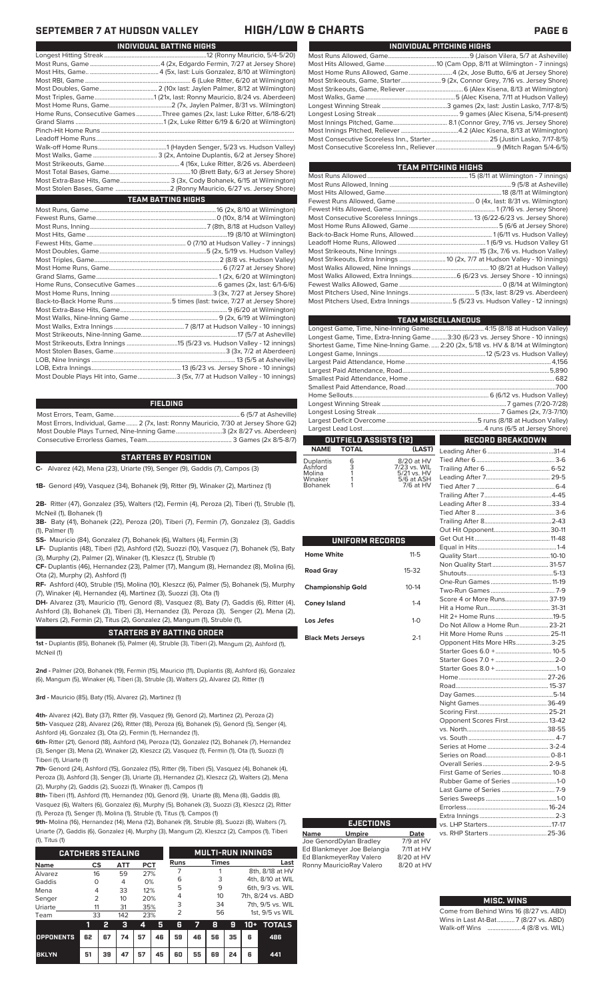#### **SEPTEMBER 7 AT AT AT AT AT AT AT AT A FAGE 6**

| INDIVIDUAL PITCHING HIGHS                                                 |
|---------------------------------------------------------------------------|
|                                                                           |
|                                                                           |
| Most Home Runs Allowed, Game 4 (2x, Jose Butto, 6/6 at Jersey Shore)      |
| Most Strikeouts, Game, Starter 9 (2x, Connor Grey, 7/16 vs. Jersey Shore) |
|                                                                           |
|                                                                           |
|                                                                           |
|                                                                           |
|                                                                           |
|                                                                           |
|                                                                           |
|                                                                           |
|                                                                           |

| TEAM PITCHING HIGHS                                                                   |  |
|---------------------------------------------------------------------------------------|--|
|                                                                                       |  |
|                                                                                       |  |
|                                                                                       |  |
|                                                                                       |  |
|                                                                                       |  |
|                                                                                       |  |
|                                                                                       |  |
|                                                                                       |  |
|                                                                                       |  |
| Most Strikeouts, Nine Innings …………………………………………………………………15 (3x, 7/6 vs. Hudson Valley) |  |
| Most Strikeouts, Extra Innings  10 (2x, 7/7 at Hudson Valley - 10 innings)            |  |
|                                                                                       |  |
|                                                                                       |  |
|                                                                                       |  |
| Most Pitchers Used, Nine Innings…………………………………………………5 (13x, last: 8/29 vs. Aberdeen)   |  |
| Most Pitchers Used, Extra Innings 5 (5/23 vs. Hudson Valley - 12 innings)             |  |
|                                                                                       |  |

| <b>TEAM MISCELLANEOUS</b>                                                          |
|------------------------------------------------------------------------------------|
| Longest Game, Time, Nine-Inning Game 4:15 (8/18 at Hudson Valley)                  |
| Longest Game, Time, Extra-Inning Game3:30 (6/23 vs. Jersey Shore - 10 innings)     |
| Shortest Game, Time Nine-Inning Game.  2:20 (2x, 5/18 vs. HV & 8/14 at Wilmington) |
|                                                                                    |
|                                                                                    |
|                                                                                    |
|                                                                                    |
|                                                                                    |
|                                                                                    |
|                                                                                    |
|                                                                                    |
|                                                                                    |
|                                                                                    |
| wa k<br>n a bh<br><b>RECORD BREAKDOWN</b>                                          |
|                                                                                    |

#### **OUTFIELD ASSISTS (12) TOTAL** Leading After 6.........................................31-4

| <b>Duplantis</b><br>Ashford<br>Molina<br>Winaker<br><b>Bohanek</b> | 6<br>3 | 8/20 at HV<br>7/23 vs. WIL<br>5/21 vs. HV<br>5/6 at ASH<br>7/6 at HV |
|--------------------------------------------------------------------|--------|----------------------------------------------------------------------|
|                                                                    |        |                                                                      |
|                                                                    |        |                                                                      |

ı

| UNIFORM RECORDS           |              |  |  |  |  |  |  |
|---------------------------|--------------|--|--|--|--|--|--|
| <b>Home White</b>         | $11 - 5$     |  |  |  |  |  |  |
| <b>Road Gray</b>          | 15-32        |  |  |  |  |  |  |
| <b>Championship Gold</b>  | $10 - 14$    |  |  |  |  |  |  |
| <b>Coney Island</b>       | $1 - 4$      |  |  |  |  |  |  |
| Los Jefes                 | $1 - \Omega$ |  |  |  |  |  |  |
| <b>Black Mets Jerseys</b> | $2-1$        |  |  |  |  |  |  |

| Do Not Allow a Home Run 23-21 |  |
|-------------------------------|--|
| Hit More Home Runs  25-11     |  |
| Opponent Hits More HRs3-25    |  |
|                               |  |
|                               |  |
|                               |  |
|                               |  |
|                               |  |
|                               |  |
|                               |  |
|                               |  |
| Opponent Scores First 13-42   |  |
|                               |  |
|                               |  |
|                               |  |
|                               |  |
|                               |  |
| First Game of Series  10-8    |  |
| Rubber Game of Series 1-0     |  |
|                               |  |
|                               |  |
|                               |  |
|                               |  |
|                               |  |
|                               |  |
|                               |  |

#### **MISC. WINS**

| Come from Behind Wins 16 (8/27 vs. ABD) |
|-----------------------------------------|
| Wins in Last At-Bat7 (8/27 vs. ABD)     |
|                                         |

|  |  |  | SEPTEMBER / AT HUUSUN VALLEY |  |
|--|--|--|------------------------------|--|
|  |  |  |                              |  |

|                        | INDIVIDUAL BATTING HIGHS                                                    |
|------------------------|-----------------------------------------------------------------------------|
|                        |                                                                             |
|                        |                                                                             |
|                        |                                                                             |
|                        |                                                                             |
|                        |                                                                             |
|                        |                                                                             |
|                        |                                                                             |
|                        | Home Runs, Consecutive Games Three games (2x, last: Luke Ritter, 6/18-6/21) |
|                        |                                                                             |
|                        |                                                                             |
|                        |                                                                             |
|                        |                                                                             |
|                        |                                                                             |
|                        |                                                                             |
|                        |                                                                             |
|                        | Most Extra-Base Hits, Game 3 (3x, Cody Bohanek, 6/15 at Wilmington)         |
|                        |                                                                             |
|                        |                                                                             |
| <b>Service Service</b> | <b>TEAM BATTING HIGHS</b>                                                   |
|                        |                                                                             |
|                        |                                                                             |
|                        |                                                                             |
|                        |                                                                             |
|                        |                                                                             |
|                        |                                                                             |
|                        |                                                                             |
|                        |                                                                             |
|                        |                                                                             |
|                        |                                                                             |
|                        |                                                                             |
|                        |                                                                             |
|                        |                                                                             |
|                        |                                                                             |
|                        |                                                                             |
|                        |                                                                             |
|                        |                                                                             |

LOB, Nine Innings .......................................................................................... 13 (5/5 at Asheville) LOB, Extra Innings........................................................13 (6/23 vs. Jersey Shore - 10 innings) Most Double Plays Hit into, Game........................3 (5x, 7/7 at Hudson Valley - 10 innings)

#### **FIELDING**

Most Errors, Team, Game...............................................................................6 (5/7 at Asheville) Most Errors, Individual, Game....... 2 (7x, last: Ronny Mauricio, 7/30 at Jersey Shore G2) Most Double Plays Turned, Nine-Inning Game.............................3 (2x 8/27 vs. Aberdeen) Consecutive Errorless Games, Team.

#### **STARTERS BY POSITION**

**C-** Alvarez (42), Mena (23), Uriarte (19), Senger (9), Gaddis (7), Campos (3)

**1B-** Genord (49), Vasquez (34), Bohanek (9), Ritter (9), Winaker (2), Martinez (1)

**2B-** Ritter (47), Gonzalez (35), Walters (12), Fermin (4), Peroza (2), Tiberi (1), Struble (1), McNeil (1), Bohanek (1)

**3B-** Baty (41), Bohanek (22), Peroza (20), Tiberi (7), Fermin (7), Gonzalez (3), Gaddis (1), Palmer (1)

**SS-** Mauricio (84), Gonzalez (7), Bohanek (6), Walters (4), Fermin (3)

**LF-** Duplantis (48), Tiberi (12), Ashford (12), Suozzi (10), Vasquez (7), Bohanek (5), Baty (3), Murphy (2), Palmer (2), Winaker (1), Kleszcz (1), Struble (1)

**CF-** Duplantis (46), Hernandez (23), Palmer (17), Mangum (8), Hernandez (8), Molina (6), Ota (2), Murphy (2), Ashford (1)

**RF-** Ashford (40), Struble (15), Molina (10), Kleszcz (6), Palmer (5), Bohanek (5), Murphy (7), Winaker (4), Hernandez (4), Martinez (3), Suozzi (3), Ota (1)

**DH-** Alvarez (31), Mauricio (11), Genord (8), Vasquez (8), Baty (7), Gaddis (6), Ritter (4), Ashford (3), Bohanek (3), Tiberi (3), Hernandez (3), Peroza (3), Senger (2), Mena (2), Walters (2), Fermin (2), Titus (2), Gonzalez (2), Mangum (1), Struble (1),

#### **STARTERS BY BATTING ORDER**

**1st -** Duplantis (85), Bohanek (5), Palmer (4), Struble (3), Tiberi (2), Mangum (2), Ashford (1), McNeil (1)

**2nd -** Palmer (20), Bohanek (19), Fermin (15), Mauricio (11), Duplantis (8), Ashford (6), Gonzalez (6), Mangum (5), Winaker (4), Tiberi (3), Struble (3), Walters (2), Alvarez (2), Ritter (1)

**3rd -** Mauricio (85), Baty (15), Alvarez (2), Martinez (1)

**4th-** Alvarez (42), Baty (37), Ritter (9), Vasquez (9), Genord (2), Martinez (2), Peroza (2) **5th-** Vasquez (28), Alvarez (26), Ritter (18), Peroza (6), Bohanek (5), Genord (5), Senger (4), Ashford (4), Gonzalez (3), Ota (2), Fermin (1), Hernandez (1),

**6th-** Ritter (21), Genord (18), Ashford (14), Peroza (12), Gonzalez (12), Bohanek (7), Hernandez (3), Senger (3), Mena (2), Winaker (2), Kleszcz (2), Vasquez (1), Fermin (1), Ota (1), Suozzi (1) Tiberi (1), Uriarte (1)

**7th-** Genord (24), Ashford (15), Gonzalez (15), Ritter (9), Tiberi (5), Vasquez (4), Bohanek (4), Peroza (3), Ashford (3), Senger (3), Uriarte (3), Hernandez (2), Kleszcz (2), Walters (2), Mena (2), Murphy (2), Gaddis (2), Suozzi (1), Winaker (1), Campos (1)

**8th-** Tiberi (11), Ashford (11), Hernandez (10), Genord (9), Uriarte (8), Mena (8), Gaddis (8), Vasquez (6), Walters (6), Gonzalez (6), Murphy (5), Bohanek (3), Suozzi (3), Kleszcz (2), Ritter (1), Peroza (1), Senger (1), Molina (1), Struble (1), Titus (1), Campos (1)

**9th-** Molina (16), Hernandez (14), Mena (12), Bohanek (9), Struble (8), Suozzi (8), Walters (7), Uriarte (7), Gaddis (6), Gonzalez (4), Murphy (3), Mangum (2), Kleszcz (2), Campos (1), Tiberi  $(4)$ , Titus (1)

| 11, 110311               |                |    |           |            |                          |      |    |       |    |                 |                   |
|--------------------------|----------------|----|-----------|------------|--------------------------|------|----|-------|----|-----------------|-------------------|
| <b>CATCHERS STEALING</b> |                |    |           |            | <b>MULTI-RUN INNINGS</b> |      |    |       |    |                 |                   |
| <b>Name</b>              | CS             |    | ATT       | <b>PCT</b> |                          | Runs |    | Times |    |                 | Last              |
| Alvarez                  |                | 16 |           | 27%        |                          |      |    |       |    |                 | 8th, 8/18 at HV   |
| Gaddis                   | O              |    | 59<br>4   | 0%         |                          | 6    |    | 3     |    |                 | 4th, 8/10 at WIL  |
| Mena                     | 4              |    | 33        | 12%        |                          | 5    |    | 9     |    |                 | 6th, 9/3 vs. WIL  |
| Senger                   | $\overline{2}$ |    | 20%<br>10 |            |                          |      |    | 10    |    |                 | 7th, 8/24 vs. ABD |
| Uriarte                  | 11             |    | 31        | 35%        |                          | 3    |    | 34    |    |                 | 7th, 9/5 vs. WIL  |
| Team                     | 33             |    | 142       | 23%        |                          | フ    |    | 56    |    | 1st, 9/5 vs WIL |                   |
|                          | 1              | 2  | з         | 4          | 5                        | 6    | 7  | 8     | 9  | 10+             | <b>TOTALS</b>     |
| <b>OPPONENTS</b>         | 62             | 67 | 74        | 57         | 46                       | 59   | 46 | 56    | 35 | 6               | 486               |

**BKLYN 51 39 47 57 45 60 55 69 24 6 441**

## **EJECTIONS**

**Name Umpire Date** Joe GenordDylan Bradley 7/9 at HV Ed Blankmeyer Joe Belangia 7/11 at HV Ed BlankmeyerRay Valero 8/20 at HV<br>Ronny MauricioRay Valero 8/20 at HV Ronny MauricioRay Valero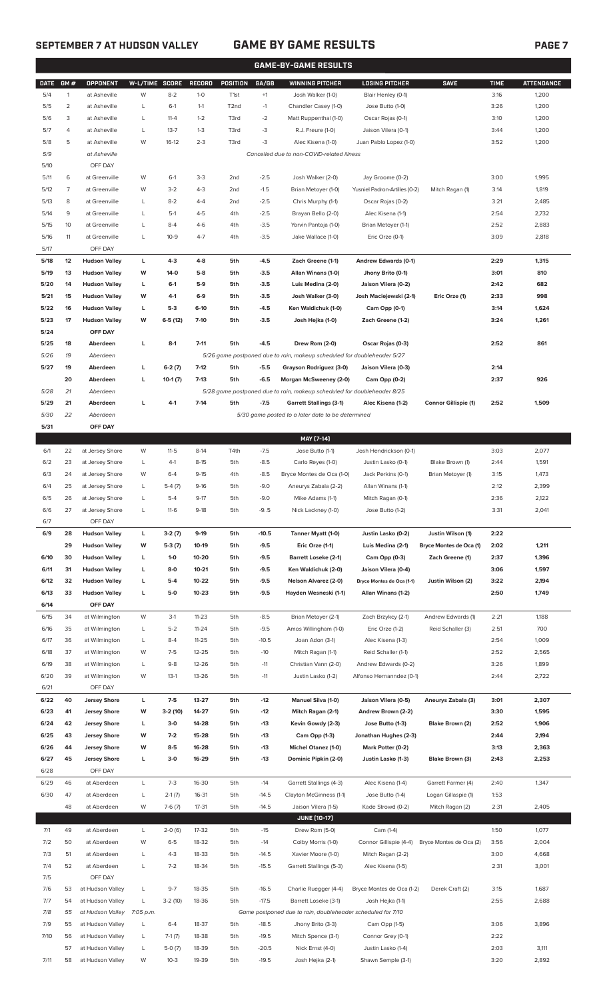### **SEPTEMBER 7 AT HUDSON VALLEY GAME BY GAME RESULTS PAGE 7**

|             | <b>GAME-BY-GAME RESULTS</b> |                      |           |              |           |                   |         |                                                                         |                               |                             |             |                   |
|-------------|-----------------------------|----------------------|-----------|--------------|-----------|-------------------|---------|-------------------------------------------------------------------------|-------------------------------|-----------------------------|-------------|-------------------|
| <b>DATE</b> | GM#                         | OPPONENT             | W-L/TIME  | <b>SCORE</b> | RECORD    | POSITION          | GA/GB   | <b>WINNING PITCHER</b>                                                  | <b>LOSING PITCHER</b>         | <b>SAVE</b>                 | <b>TIME</b> | <b>ATTENDANCE</b> |
| 5/4         | $\mathbf{1}$                | at Asheville         | W         | $8 - 2$      | $1 - 0$   | T <sub>1st</sub>  | $+1$    | Josh Walker (1-0)                                                       | Blair Henley (0-1)            |                             | 3:16        | 1,200             |
| 5/5         | $\overline{c}$              | at Asheville         | L         | $6-1$        | $1 - 1$   | T <sub>2</sub> nd | $-1$    | Chandler Casey (1-0)                                                    | Jose Butto (1-0)              |                             | 3:26        | 1,200             |
| 5/6         | 3                           | at Asheville         | L         | $11 - 4$     | $1 - 2$   | T3rd              | $-2$    | Matt Ruppenthal (1-0)                                                   | Oscar Rojas (0-1)             |                             | 3:10        | 1,200             |
| 5/7         | 4                           | at Asheville         | L         | $13 - 7$     | $1-3$     | T3rd              | $-3$    | R.J. Freure (1-0)                                                       | Jaison Vilera (0-1)           |                             | 3:44        | 1,200             |
| 5/8         | 5                           | at Asheville         | W         | $16-12$      | $2 - 3$   | T3rd              | $-3$    | Alec Kisena (1-0)                                                       | Juan Pablo Lopez (1-0)        |                             | 3:52        | 1,200             |
| 5/9         |                             | at Asheville         |           |              |           |                   |         | Cancelled due to non-COVID-related illness                              |                               |                             |             |                   |
| 5/10        |                             | OFF DAY              |           |              |           |                   |         |                                                                         |                               |                             |             |                   |
| 5/11        | 6                           | at Greenville        | W         | $6-1$        | $3-3$     | 2 <sub>nd</sub>   | $-2.5$  | Josh Walker (2-0)                                                       | Jay Groome (0-2)              |                             | 3:00        | 1,995             |
| 5/12        | 7                           | at Greenville        | W         | $3 - 2$      | $4 - 3$   | 2nd               | $-1.5$  | Brian Metoyer (1-0)                                                     | Yusniel Padron-Artilles (0-2) | Mitch Ragan (1)             | 3:14        | 1,819             |
|             |                             |                      |           |              |           |                   |         |                                                                         |                               |                             |             |                   |
| 5/13        | 8                           | at Greenville        | L         | $8 - 2$      | $4 - 4$   | 2 <sub>nd</sub>   | $-2.5$  | Chris Murphy (1-1)                                                      | Oscar Rojas (0-2)             |                             | 3:21        | 2,485             |
| 5/14        | 9                           | at Greenville        | L         | $5-1$        | $4 - 5$   | 4th               | $-2.5$  | Brayan Bello (2-0)                                                      | Alec Kisena (1-1)             |                             | 2:54        | 2,732             |
| 5/15        | 10                          | at Greenville        | L         | $8 - 4$      | $4 - 6$   | 4th               | $-3.5$  | Yorvin Pantoja (1-0)                                                    | Brian Metoyer (1-1)           |                             | 2:52        | 2,883             |
| 5/16        | 11                          | at Greenville        | L         | $10-9$       | $4 - 7$   | 4th               | $-3.5$  | Jake Wallace (1-0)                                                      | Eric Orze (0-1)               |                             | 3:09        | 2,818             |
| 5/17        |                             | OFF DAY              |           |              |           |                   |         |                                                                         |                               |                             |             |                   |
| 5/18        | 12                          | <b>Hudson Valley</b> | L         | $4 - 3$      | $4 - 8$   | 5th               | $-4.5$  | Zach Greene (1-1)                                                       | <b>Andrew Edwards (0-1)</b>   |                             | 2:29        | 1,315             |
| 5/19        | 13                          | <b>Hudson Valley</b> | W         | 14-0         | $5-8$     | 5th               | $-3.5$  | Allan Winans (1-0)                                                      | Jhony Brito (0-1)             |                             | 3:01        | 810               |
| 5/20        | 14                          | <b>Hudson Valley</b> | L         | $6-1$        | $5-9$     | 5th               | $-3.5$  | Luis Medina (2-0)                                                       | Jaison Vilera (0-2)           |                             | 2:42        | 682               |
| 5/21        | 15                          | <b>Hudson Valley</b> | W         | $4-1$        | $6-9$     | 5th               | $-3.5$  | Josh Walker (3-0)                                                       | Josh Maciejewski (2-1)        | Eric Orze (1)               | 2:33        | 998               |
| 5/22        | 16                          | <b>Hudson Valley</b> | L         | $5-3$        | $6-10$    | 5th               | $-4.5$  | Ken Waldichuk (1-0)                                                     | Cam Opp (0-1)                 |                             | 3:14        | 1,624             |
| 5/23        | 17                          | <b>Hudson Valley</b> | W         | $6-5(12)$    | $7-10$    | 5th               | $-3.5$  | Josh Hejka (1-0)                                                        | Zach Greene (1-2)             |                             | 3:24        | 1,261             |
| 5/24        |                             | OFF DAY              |           |              |           |                   |         |                                                                         |                               |                             |             |                   |
| 5/25        | 18                          | Aberdeen             | L         | $8-1$        | $7 - 11$  | 5th               | $-4.5$  | Drew Rom (2-0)                                                          | Oscar Rojas (0-3)             |                             | 2:52        | 861               |
| 5/26        | 19                          | Aberdeen             |           |              |           |                   |         | 5/26 game postponed due to rain, makeup scheduled for doubleheader 5/27 |                               |                             |             |                   |
| 5/27        | 19                          | Aberdeen             | г         | $6-2(7)$     | $7-12$    | 5th               | $-5.5$  | Grayson Rodriguez (3-0)                                                 | Jaison Vilera (0-3)           |                             | 2:14        |                   |
|             | 20                          | Aberdeen             | г         | $10-1(7)$    | $7-13$    | 5th               | $-6.5$  | Morgan McSweeney (2-0)                                                  | Cam Opp (0-2)                 |                             | 2:37        | 926               |
| 5/28        | 21                          | Aberdeen             |           |              |           |                   |         | 5/28 game postponed due to rain, makeup scheduled for doubleheader 8/25 |                               |                             |             |                   |
| 5/29        | 21                          | Aberdeen             | L         | $4-1$        | $7-14$    | 5th               | $-7.5$  | <b>Garrett Stallings (3-1)</b>                                          | Alec Kisena (1-2)             | <b>Connor Gillispie (1)</b> | 2:52        | 1,509             |
| 5/30        | 22                          | Aberdeen             |           |              |           |                   |         | 5/30 game posted to a later date to be determined                       |                               |                             |             |                   |
| 5/31        |                             | OFF DAY              |           |              |           |                   |         |                                                                         |                               |                             |             |                   |
|             |                             |                      |           |              |           |                   |         |                                                                         |                               |                             |             |                   |
|             |                             |                      |           |              |           |                   |         | MAY [7-14]                                                              |                               |                             |             |                   |
| 6/1         | 22                          | at Jersey Shore      | W         | $11 - 5$     | $8-14$    | T4th              | $-7.5$  | Jose Butto (1-1)                                                        | Josh Hendrickson (0-1)        |                             | 3:03        | 2,077             |
| 6/2         | 23                          | at Jersey Shore      | L         | $4-1$        | $8 - 15$  | 5th               | $-8.5$  | Carlo Reyes (1-0)                                                       | Justin Lasko (0-1)            | Blake Brown (1)             | 2:44        | 1,591             |
| 6/3         | 24                          | at Jersey Shore      | W         | $6 - 4$      | $9 - 15$  | 4th               | $-8.5$  | Bryce Montes de Oca (1-0)                                               | Jack Perkins (0-1)            | Brian Metoyer (1)           | 3:15        | 1,473             |
| 6/4         | 25                          | at Jersey Shore      | L         | $5-4(7)$     | $9-16$    | 5th               | $-9.0$  | Aneurys Zabala (2-2)                                                    | Allan Winans (1-1)            |                             | 2:12        | 2,399             |
| 6/5         | 26                          | at Jersey Shore      | L         | $5 - 4$      | $9-17$    | 5th               | $-9.0$  | Mike Adams (1-1)                                                        | Mitch Ragan (0-1)             |                             | 2:36        | 2,122             |
| 6/6         | 27                          | at Jersey Shore      |           | $11-6$       | $9-18$    | 5th               | -95     | Nick Lackney (1-0)                                                      | Jose Butto (1-2)              |                             | 3:31        | 2,041             |
| 6/7         |                             | OFF DAY              |           |              |           |                   |         |                                                                         |                               |                             |             |                   |
| 6/9         | 28                          | <b>Hudson Valley</b> | L         | $3-2(7)$     | $9-19$    | 5th               | $-10.5$ | Tanner Myatt (1-0)                                                      | Justin Lasko (0-2)            | Justin Wilson (1)           | 2:22        |                   |
|             | 29                          | <b>Hudson Valley</b> | W         | $5-3(7)$     | $10-19$   | 5th               | $-9.5$  | Eric Orze (1-1)                                                         | Luis Medina (2-1)             | Bryce Montes de Oca (1)     | 2:02        | 1,211             |
| 6/10        | 30                          | <b>Hudson Valley</b> | L         | $1 - 0$      | 10-20     | 5th               | $-9.5$  | Barrett Loseke (2-1)                                                    | Cam Opp (0-3)                 | Zach Greene (1)             | 2:37        | 1,396             |
| 6/11        | 31                          | <b>Hudson Valley</b> | L         | $8-0$        | $10 - 21$ | 5th               | $-9.5$  | Ken Waldichuk (2-0)                                                     | Jaison Vilera (0-4)           |                             | 3:06        | 1,597             |
| 6/12        | 32                          | <b>Hudson Valley</b> | L         | $5-4$        | 10-22     | 5th               | $-9.5$  | Nelson Alvarez (2-0)                                                    | Bryce Montes de Oca (1-1)     | Justin Wilson (2)           | 3:22        | 2,194             |
| 6/13        | 33                          | <b>Hudson Valley</b> | L         | $5-0$        | $10 - 23$ | 5th               | $-9.5$  | Hayden Wesneski (1-1)                                                   | Allan Winans (1-2)            |                             | 2:50        | 1,749             |
| 6/14        |                             | OFF DAY              |           |              |           |                   |         |                                                                         |                               |                             |             |                   |
| 6/15        | 34                          | at Wilmington        | W         | $3-1$        | $11 - 23$ | 5th               | $-8.5$  | Brian Metoyer (2-1)                                                     | Zach Brzykcy (2-1)            | Andrew Edwards (1)          | 2:21        | 1,188             |
| 6/16        | 35                          | at Wilmington        | L         | $5 - 2$      | $11 - 24$ | 5th               | $-9.5$  | Amos Willingham (1-0)                                                   | Eric Orze (1-2)               | Reid Schaller (3)           | 2:51        | 700               |
| 6/17        | 36                          | at Wilmington        | L         | $8 - 4$      | $11 - 25$ | 5th               | $-10.5$ | Joan Adon (3-1)                                                         | Alec Kisena (1-3)             |                             | 2:54        | 1,009             |
| 6/18        | 37                          | at Wilmington        | W         | $7-5$        | 12-25     | 5th               | $-10$   | Mitch Ragan (1-1)                                                       | Reid Schaller (1-1)           |                             | 2:52        | 2,565             |
|             |                             |                      |           |              |           |                   |         |                                                                         |                               |                             |             |                   |
| 6/19        | 38                          | at Wilmington        | L         | $9 - 8$      | 12-26     | 5th               | $-11$   | Christian Vann (2-0)                                                    | Andrew Edwards (0-2)          |                             | 3:26        | 1,899             |
| 6/20        | 39                          | at Wilmington        | W         | $13-1$       | 13-26     | 5th               | $-11$   | Justin Lasko (1-2)                                                      | Alfonso Hernanndez (0-1)      |                             | 2:44        | 2,722             |
| 6/21        |                             | OFF DAY              |           |              |           |                   |         |                                                                         |                               |                             |             |                   |
| 6/22        | 40                          | <b>Jersey Shore</b>  | L         | $7-5$        | 13-27     | 5th               | $-12$   | Manuel Silva (1-0)                                                      | Jaison Vilera (0-5)           | Aneurys Zabala (3)          | 3:01        | 2,307             |
| 6/23        | 41                          | <b>Jersey Shore</b>  | W         | 3-2 (10)     | 14-27     | 5th               | $-12$   | Mitch Ragan (2-1)                                                       | Andrew Brown (2-2)            |                             | 3:30        | 1,595             |
| 6/24        | 42                          | <b>Jersey Shore</b>  | L         | $3-0$        | 14-28     | 5th               | $-13$   | Kevin Gowdy (2-3)                                                       | Jose Butto (1-3)              | Blake Brown (2)             | 2:52        | 1,906             |
| 6/25        | 43                          | <b>Jersey Shore</b>  | W         | $7-2$        | 15-28     | 5th               | $-13$   | Cam Opp (1-3)                                                           | Jonathan Hughes (2-3)         |                             | 2:44        | 2,194             |
| 6/26        | 44                          | <b>Jersey Shore</b>  | W         | $8 - 5$      | 16-28     | 5th               | $-13$   | Michel Otanez (1-0)                                                     | Mark Potter (0-2)             |                             | 3:13        | 2,363             |
| 6/27        | 45                          | <b>Jersey Shore</b>  | г         | $3-0$        | 16-29     | 5th               | -13     | Dominic Pipkin (2-0)                                                    | Justin Lasko (1-3)            | Blake Brown (3)             | 2:43        | 2,253             |
| 6/28        |                             | OFF DAY              |           |              |           |                   |         |                                                                         |                               |                             |             |                   |
| 6/29        | 46                          | at Aberdeen          | L         | $7-3$        | 16-30     | 5th               | $-14$   | Garrett Stallings (4-3)                                                 | Alec Kisena (1-4)             | Garrett Farmer (4)          | 2:40        | 1,347             |
| 6/30        | 47                          | at Aberdeen          | L         | $2-1(7)$     | 16-31     | 5th               | $-14.5$ | Clayton McGinness (1-1)                                                 | Jose Butto (1-4)              | Logan Gillaspie (1)         | 1:53        |                   |
|             | 48                          | at Aberdeen          | W         | $7-6(7)$     | 17-31     | 5th               | $-14.5$ | Jaison Vilera (1-5)                                                     | Kade Strowd (0-2)             | Mitch Ragan (2)             | 2:31        | 2,405             |
|             |                             |                      |           |              |           |                   |         | <b>JUNE (10-17)</b>                                                     |                               |                             |             |                   |
| 7/1         | 49                          | at Aberdeen          | L         | $2-0(6)$     | 17-32     | 5th               | $-15$   | Drew Rom (5-0)                                                          | Cam (1-4)                     |                             | 1:50        | 1,077             |
| 7/2         | 50                          | at Aberdeen          | W         | $6 - 5$      | 18-32     | 5th               | $-14$   | Colby Morris (1-0)                                                      | Connor Gillispie (4-4)        | Bryce Montes de Oca (2)     | 3:56        | 2,004             |
|             |                             |                      |           |              |           |                   |         |                                                                         |                               |                             |             |                   |
| 7/3         | 51                          | at Aberdeen          | L         | $4-3$        | 18-33     | 5th               | $-14.5$ | Xavier Moore (1-0)                                                      | Mitch Ragan (2-2)             |                             | 3:00        | 4,668             |
| 7/4         | 52                          | at Aberdeen          | L         | $7 - 2$      | 18-34     | 5th               | $-15.5$ | Garrett Stallings (5-3)                                                 | Alec Kisena (1-5)             |                             | 2:31        | 3,001             |
| 7/5         |                             | OFF DAY              |           |              |           |                   |         |                                                                         |                               |                             |             |                   |
| 7/6         | 53                          | at Hudson Valley     | L         | $9 - 7$      | 18-35     | 5th               | $-16.5$ | Charlie Ruegger (4-4)                                                   | Bryce Montes de Oca (1-2)     | Derek Craft (2)             | 3:15        | 1,687             |
| 7/7         | 54                          | at Hudson Valley     | L         | $3-2(10)$    | 18-36     | 5th               | $-17.5$ | Barrett Loseke (3-1)                                                    | Josh Hejka (1-1)              |                             | 2:55        | 2,688             |
| 7/8         | 55                          | at Hudson Valley     | 7:05 p.m. |              |           |                   |         | Game postponed due to rain, doubleheader scheduled for 7/10             |                               |                             |             |                   |
| 7/9         | 55                          | at Hudson Valley     | L         | $6 - 4$      | 18-37     | 5th               | $-18.5$ | Jhony Brito (3-3)                                                       | Cam Opp (1-5)                 |                             | 3:06        | 3,896             |
| 7/10        | 56                          | at Hudson Valley     | L         | $7-1(7)$     | 18-38     | 5th               | $-19.5$ | Mitch Spence (3-1)                                                      | Connor Grey (0-1)             |                             | 2:22        |                   |
|             | 57                          | at Hudson Valley     | L         | $5-0(7)$     | 18-39     | 5th               | $-20.5$ | Nick Ernst (4-0)                                                        | Justin Lasko (1-4)            |                             | 2:03        | 3,111             |

7/11 58 at Hudson Valley W 10-3 19-39 5th -19.5 Josh Hejka (2-1) Shawn Semple (3-1) 3:20 2,892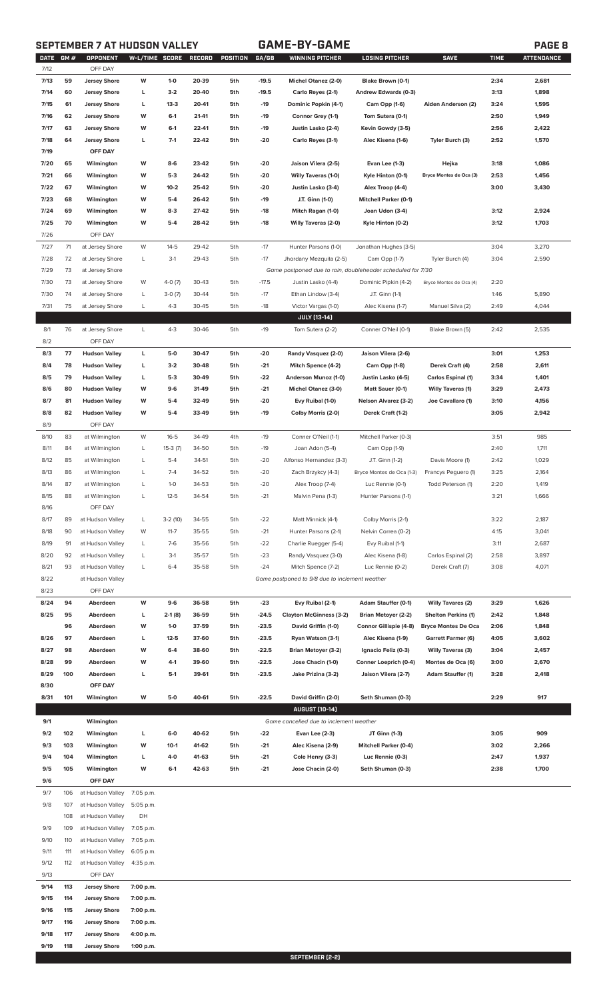### **SEPTEMBER 7 AT HUDSON VALLEY GAME-BY-GAME PAGE 8**

| <b>DATE</b> | GM# | OPPONENT             | W-L/TIME SCORE |           | RECORD | POSITION | GA/GB   | WINNING PITCHER                                             | <b>LOSING PITCHER</b>         | <b>SAVE</b>                | <b>TIME</b> | <b>ATTENDANCE</b> |
|-------------|-----|----------------------|----------------|-----------|--------|----------|---------|-------------------------------------------------------------|-------------------------------|----------------------------|-------------|-------------------|
| 7/12        |     | OFF DAY              |                |           |        |          |         |                                                             |                               |                            |             |                   |
| 7/13        | 59  | <b>Jersey Shore</b>  | W              | $1 - 0$   | 20-39  | 5th      | $-19.5$ | Michel Otanez (2-0)                                         | Blake Brown (0-1)             |                            | 2:34        | 2,681             |
| 7/14        | 60  | <b>Jersey Shore</b>  | L              | $3-2$     | 20-40  | 5th      | $-19.5$ | Carlo Reyes (2-1)                                           | Andrew Edwards (0-3)          |                            | 3:13        | 1,898             |
| 7/15        | 61  | <b>Jersey Shore</b>  | г              | $13-3$    | 20-41  | 5th      | $-19$   | Dominic Popkin (4-1)                                        | Cam Opp (1-6)                 | Aiden Anderson (2)         | 3:24        | 1,595             |
| 7/16        | 62  | <b>Jersey Shore</b>  | W              | $6 - 1$   | 21-41  | 5th      | $-19$   | Connor Grey (1-1)                                           | Tom Sutera (0-1)              |                            | 2:50        | 1,949             |
| 7/17        | 63  | <b>Jersey Shore</b>  | W              | $6 - 1$   | 22-41  | 5th      | $-19$   | Justin Lasko (2-4)                                          | Kevin Gowdy (3-5)             |                            | 2:56        | 2,422             |
|             |     |                      |                |           |        |          |         |                                                             |                               |                            |             |                   |
| 7/18        | 64  | <b>Jersey Shore</b>  | L              | $7-1$     | 22-42  | 5th      | $-20$   | Carlo Reyes (3-1)                                           | Alec Kisena (1-6)             | Tyler Burch (3)            | 2:52        | 1,570             |
| 7/19        |     | OFF DAY              |                |           |        |          |         |                                                             |                               |                            |             |                   |
| 7/20        | 65  | Wilmington           | W              | $8-6$     | 23-42  | 5th      | -20     | Jaison Vilera (2-5)                                         | Evan Lee (1-3)                | Hejka                      | 3:18        | 1,086             |
| 7/21        | 66  | Wilmington           | W              | $5-3$     | 24-42  | 5th      | -20     | <b>Willy Taveras (1-0)</b>                                  | Kyle Hinton (0-1)             | Bryce Montes de Oca (3)    | 2:53        | 1,456             |
| 7/22        | 67  | Wilmington           | W              | $10-2$    | 25-42  | 5th      | -20     | Justin Lasko (3-4)                                          | Alex Troop (4-4)              |                            | 3:00        | 3,430             |
| 7/23        | 68  | Wilmington           | W              | $5-4$     | 26-42  | 5th      | $-19$   | J.T. Ginn (1-0)                                             | <b>Mitchell Parker (0-1)</b>  |                            |             |                   |
| 7/24        | 69  | Wilmington           | W              | $8-3$     | 27-42  | 5th      | $-18$   | Mitch Ragan (1-0)                                           | Joan Udon (3-4)               |                            | 3:12        | 2,924             |
|             |     |                      |                |           |        |          |         |                                                             |                               |                            |             |                   |
| 7/25        | 70  | Wilmington           | W              | $5-4$     | 28-42  | 5th      | $-18$   | <b>Willy Taveras (2-0)</b>                                  | Kyle Hinton (0-2)             |                            | 3:12        | 1,703             |
| 7/26        |     | OFF DAY              |                |           |        |          |         |                                                             |                               |                            |             |                   |
| 7/27        | 71  | at Jersey Shore      | W              | $14 - 5$  | 29-42  | 5th      | $-17$   | Hunter Parsons (1-0)                                        | Jonathan Hughes (3-5)         |                            | 3:04        | 3,270             |
| 7/28        | 72  | at Jersey Shore      | L              | $3-1$     | 29-43  | 5th      | $-17$   | Jhordany Mezquita (2-5)                                     | Cam Opp (1-7)                 | Tyler Burch (4)            | 3:04        | 2,590             |
| 7/29        | 73  | at Jersey Shore      |                |           |        |          |         | Game postponed due to rain, doubleheader scheduled for 7/30 |                               |                            |             |                   |
| 7/30        | 73  | at Jersey Shore      | W              | $4-0(7)$  | 30-43  | 5th      | $-17.5$ | Justin Lasko (4-4)                                          | Dominic Pipkin (4-2)          | Bryce Montes de Oca (4)    | 2:20        |                   |
|             |     |                      |                |           |        |          |         |                                                             |                               |                            |             |                   |
| 7/30        | 74  | at Jersey Shore      | L              | $3-0(7)$  | 30-44  | 5th      | $-17$   | Ethan Lindow (3-4)                                          | J.T. Ginn (1-1)               |                            | 1:46        | 5,890             |
| 7/31        | 75  | at Jersey Shore      | L              | $4 - 3$   | 30-45  | 5th      | $-18$   | Victor Vargas (1-0)                                         | Alec Kisena (1-7)             | Manuel Silva (2)           | 2:49        | 4,044             |
|             |     |                      |                |           |        |          |         | <b>JULY [13-14]</b>                                         |                               |                            |             |                   |
| 8/1         | 76  | at Jersey Shore      | L              | $4 - 3$   | 30-46  | 5th      | $-19$   | Tom Sutera (2-2)                                            | Conner O'Neil (0-1)           | Blake Brown (5)            | 2:42        | 2,535             |
| 8/2         |     | OFF DAY              |                |           |        |          |         |                                                             |                               |                            |             |                   |
| 8/3         | 77  | <b>Hudson Valley</b> | L              | 5-0       | 30-47  | 5th      | -20     | Randy Vasquez (2-0)                                         | Jaison Vilera (2-6)           |                            | 3:01        | 1,253             |
| 8/4         | 78  | <b>Hudson Valley</b> | L              | $3-2$     | 30-48  | 5th      | $-21$   | Mitch Spence (4-2)                                          | Cam Opp (1-8)                 | Derek Craft (4)            | 2:58        | 2,611             |
|             |     |                      |                |           |        |          |         |                                                             |                               |                            |             |                   |
| 8/5         | 79  | <b>Hudson Valley</b> | г              | $5-3$     | 30-49  | 5th      | -22     | Anderson Munoz (1-0)                                        | Justin Lasko (4-5)            | <b>Carlos Espinal (1)</b>  | 3:34        | 1,401             |
| 8/6         | 80  | <b>Hudson Valley</b> | W              | $9-6$     | 31-49  | 5th      | $-21$   | <b>Michel Otanez (3-0)</b>                                  | Matt Sauer (0-1)              | <b>Willy Taveras (1)</b>   | 3:29        | 2,473             |
| 8/7         | 81  | <b>Hudson Valley</b> | w              | $5-4$     | 32-49  | 5th      | -20     | Evy Ruibal (1-0)                                            | Nelson Alvarez (3-2)          | Joe Cavallaro (1)          | 3:10        | 4,156             |
| 8/8         | 82  | <b>Hudson Valley</b> | W              | $5-4$     | 33-49  | 5th      | $-19$   | Colby Morris (2-0)                                          | Derek Craft (1-2)             |                            | 3:05        | 2,942             |
| 8/9         |     | OFF DAY              |                |           |        |          |         |                                                             |                               |                            |             |                   |
| 8/10        | 83  | at Wilmington        | W              | $16 - 5$  | 34-49  | 4th      | $-19$   | Conner O'Neil (1-1)                                         | Mitchell Parker (0-3)         |                            | 3:51        | 985               |
| 8/11        | 84  | at Wilmington        | L              | $15-3(7)$ | 34-50  | 5th      | $-19$   | Joan Adon (5-4)                                             | Cam Opp (1-9)                 |                            | 2:40        | 1,711             |
|             |     |                      |                |           |        |          |         |                                                             |                               |                            |             |                   |
| 8/12        | 85  | at Wilmington        | L              | $5-4$     | 34-51  | 5th      | -20     | Alfonso Hernandez (3-3)                                     | J.T. Ginn (1-2)               | Davis Moore (1)            | 2:42        | 1,029             |
| 8/13        | 86  | at Wilmington        | L              | $7-4$     | 34-52  | 5th      | $-20$   | Zach Brzykcy (4-3)                                          | Bryce Montes de Oca (1-3)     | Francys Peguero (1)        | 3:25        | 2,164             |
| 8/14        | 87  | at Wilmington        | L              | $1 - 0$   | 34-53  | 5th      | $-20$   | Alex Troop (7-4)                                            | Luc Rennie (0-1)              | Todd Peterson (1)          | 2:20        | 1,419             |
| 8/15        | 88  | at Wilmington        | L              | $12 - 5$  | 34-54  | 5th      | $-21$   | Malvin Pena (1-3)                                           | Hunter Parsons (1-1)          |                            | 3:21        | 1,666             |
| 8/16        |     | OFF DAY              |                |           |        |          |         |                                                             |                               |                            |             |                   |
| 8/17        | 89  | at Hudson Valley     | L              | $3-2(10)$ | 34-55  | 5th      | $-22$   | Matt Minnick (4-1)                                          | Colby Morris (2-1)            |                            | 3:22        | 2,187             |
|             |     |                      |                |           |        |          |         |                                                             |                               |                            |             |                   |
| 8/18        | 90  | at Hudson Valley     | W              | $11 - 7$  | 35-55  | 5th      | $-21$   | Hunter Parsons (2-1)                                        | Nelvin Correa (0-2)           |                            | 4:15        | 3,041             |
| 8/19        | 91  | at Hudson Valley     | L              | $7-6$     | 35-56  | 5th      | $-22$   | Charlie Ruegger (5-4)                                       | Evy Ruibal (1-1)              |                            | 3:11        | 2,687             |
| 8/20        | 92  | at Hudson Valley     | L              | $3-1$     | 35-57  | 5th      | $-23$   | Randy Vasquez (3-0)                                         | Alec Kisena (1-8)             | Carlos Espinal (2)         | 2:58        | 3,897             |
| 8/21        | 93  | at Hudson Valley     | L              | $6 - 4$   | 35-58  | 5th      | $-24$   | Mitch Spence (7-2)                                          | Luc Rennie (0-2)              | Derek Craft (7)            | 3:08        | 4,071             |
| 8/22        |     | at Hudson Valley     |                |           |        |          |         | Game postponed to 9/8 due to inclement weather              |                               |                            |             |                   |
| 8/23        |     | OFF DAY              |                |           |        |          |         |                                                             |                               |                            |             |                   |
|             |     |                      |                |           |        |          |         |                                                             | Adam Stauffer (0-1)           |                            |             |                   |
| 8/24        | 94  | Aberdeen             | W              | $9-6$     | 36-58  | 5th      | $-23$   | Evy Ruibal (2-1)                                            |                               | <b>Willy Tavares (2)</b>   | 3:29        | 1,626             |
| 8/25        | 95  | Aberdeen             | L              | 2-1 (8)   | 36-59  | 5th      | $-24.5$ | <b>Clayton McGinness (3-2)</b>                              | <b>Brian Metoyer (2-2)</b>    | <b>Shelton Perkins (1)</b> | 2:42        | 1,848             |
|             | 96  | Aberdeen             | W              | $1-0$     | 37-59  | 5th      | $-23.5$ | David Griffin (1-0)                                         | <b>Connor Gillispie (4-8)</b> | <b>Bryce Montes De Oca</b> | 2:06        | 1,848             |
| 8/26        | 97  | Aberdeen             | L              | $12-5$    | 37-60  | 5th      | $-23.5$ | Ryan Watson (3-1)                                           | Alec Kisena (1-9)             | <b>Garrett Farmer (6)</b>  | 4:05        | 3,602             |
| 8/27        | 98  | Aberdeen             | W              | 6-4       | 38-60  | 5th      | $-22.5$ | <b>Brian Metoyer (3-2)</b>                                  | Ignacio Feliz (0-3)           | <b>Willy Taveras (3)</b>   | 3:04        | 2,457             |
| 8/28        | 99  | Aberdeen             | W              | $4-1$     | 39-60  | 5th      | $-22.5$ | Jose Chacin (1-0)                                           | Conner Loeprich (0-4)         | Montes de Oca (6)          | 3:00        | 2,670             |
| 8/29        | 100 | Aberdeen             | г              | $5-1$     | 39-61  | 5th      | $-23.5$ | Jake Prizina (3-2)                                          | Jaison Vilera (2-7)           | <b>Adam Stauffer (1)</b>   | 3:28        | 2,418             |
|             |     |                      |                |           |        |          |         |                                                             |                               |                            |             |                   |
| 8/30        |     | OFF DAY              |                |           |        |          |         |                                                             |                               |                            |             |                   |
| 8/31        | 101 | Wilmington           | W              | 5-0       | 40-61  | 5th      | $-22.5$ | David Griffin (2-0)                                         | Seth Shuman (0-3)             |                            | 2:29        | 917               |
|             |     |                      |                |           |        |          |         | <b>AUGUST [10-14]</b>                                       |                               |                            |             |                   |
| 9/1         |     | Wilmington           |                |           |        |          |         | Game cancelled due to inclement weather                     |                               |                            |             |                   |
| 9/2         | 102 | Wilmington           | г              | $6-0$     | 40-62  | 5th      | -22     | Evan Lee (2-3)                                              | JT Ginn (1-3)                 |                            | 3:05        | 909               |
| 9/3         | 103 | Wilmington           | W              | $10-1$    | 41-62  | 5th      | $-21$   | Alec Kisena (2-9)                                           | <b>Mitchell Parker (0-4)</b>  |                            | 3:02        | 2,266             |
|             |     |                      |                |           |        |          |         |                                                             |                               |                            |             |                   |
| 9/4         | 104 | Wilmington           | L              | 4-0       | 41-63  | 5th      | $-21$   | Cole Henry (3-3)                                            | Luc Rennie (0-3)              |                            | 2:47        | 1,937             |
| 9/5         | 105 | Wilmington           | W              | $6-1$     | 42-63  | 5th      | $-21$   | Jose Chacin (2-0)                                           | Seth Shuman (0-3)             |                            | 2:38        | 1,700             |
| 9/6         |     | OFF DAY              |                |           |        |          |         |                                                             |                               |                            |             |                   |
| 9/7         | 106 | at Hudson Valley     | 7:05 p.m.      |           |        |          |         |                                                             |                               |                            |             |                   |
| 9/8         | 107 | at Hudson Valley     | 5:05 p.m.      |           |        |          |         |                                                             |                               |                            |             |                   |
|             | 108 | at Hudson Valley     | DH             |           |        |          |         |                                                             |                               |                            |             |                   |
| 9/9         | 109 | at Hudson Valley     | 7:05 p.m.      |           |        |          |         |                                                             |                               |                            |             |                   |
|             |     |                      |                |           |        |          |         |                                                             |                               |                            |             |                   |
| 9/10        | 110 | at Hudson Valley     | 7:05 p.m.      |           |        |          |         |                                                             |                               |                            |             |                   |
| 9/11        | 111 | at Hudson Valley     | 6:05 p.m.      |           |        |          |         |                                                             |                               |                            |             |                   |
| 9/12        | 112 | at Hudson Valley     | 4:35 p.m.      |           |        |          |         |                                                             |                               |                            |             |                   |

9/13 OFF DAY<br>9/14 113 Jersey Shore **9/14 113 Jersey Shore 7:00 p.m. 9/15 114 Jersey Shore 7:00 p.m. 9/16 115 Jersey Shore 7:00 p.m. 9/17 116 Jersey Shore 7:00 p.m.**

**9/18 117 Jersey Shore 4:00 p.m. 9/19 118 Jersey Shore 1:00 p.m.**